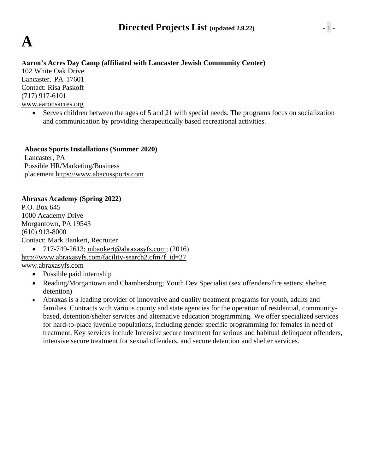

### **Aaron's Acres Day Camp (affiliated with Lancaster Jewish Community Center)**

102 White Oak Drive Lancaster, PA 17601 Contact: Risa Paskoff (717) 917-6101 [www.aaronsacres.org](http://www.aaronsacres.org/)

> • Serves children between the ages of 5 and 21 with special needs. The programs focus on socialization and communication by providing therapeutically based recreational activities.

**Abacus Sports Installations (Summer 2020)** Lancaster, PA Possible HR/Marketing/Business placement [https://www.abacussports.com](https://www.abacussports.com/)

### **Abraxas Academy (Spring 2022)**

P.O. Box 645 1000 Academy Drive Morgantown, PA 19543 (610) 913-8000 Contact: Mark Bankert, Recruiter •  $717-749-2613$ ; [mbankert@abraxasyfs.com;](mailto:mbankert@abraxasyfs.com) (2016)

[http://www.abraxasyfs.com/facility-search2.cfm?f\\_id=27](http://www.abraxasyfs.com/facility-search2.cfm?f_id=27) [www.abraxasyfs.com](http://www.abraxasyfs.com/)

- Possible paid internship
- Reading/Morgantown and Chambersburg; Youth Dev Specialist (sex offenders/fire setters; shelter; detention)
- Abraxas is a leading provider of innovative and quality treatment programs for youth, adults and families. Contracts with various county and state agencies for the operation of residential, communitybased, detention/shelter services and alternative education programming. We offer specialized services for hard-to-place juvenile populations, including gender specific programming for females in need of treatment. Key services include Intensive secure treatment for serious and habitual delinquent offenders, intensive secure treatment for sexual offenders, and secure detention and shelter services.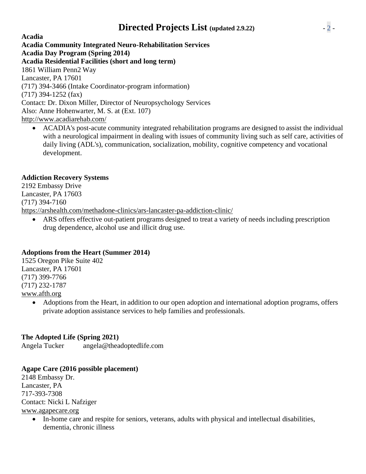## **Directed Projects List (updated 2.9.22)** - 2 -

**Acadia Acadia Community Integrated Neuro-Rehabilitation Services Acadia Day Program (Spring 2014) Acadia Residential Facilities (short and long term)** 1861 William Penn2 Way Lancaster, PA 17601 (717) 394-3466 (Intake Coordinator-program information) (717) 394-1252 (fax) Contact: Dr. Dixon Miller, Director of Neuropsychology Services Also: Anne Hohenwarter, M. S. at (Ext. 107) <http://www.acadiarehab.com/>

• ACADIA's post-acute community integrated rehabilitation programs are designed to assist the individual with a neurological impairment in dealing with issues of community living such as self care, activities of daily living (ADL's), communication, socialization, mobility, cognitive competency and vocational development.

### **Addiction Recovery Systems**

2192 Embassy Drive Lancaster, PA 17603 (717) 394-7160 https://arshealth.com/methadone-clinics/ars-lancaster-pa-addiction-clinic/

ARS offers effective out-patient programs designed to treat a variety of needs including prescription drug dependence, alcohol use and illicit drug use.

### **Adoptions from the Heart (Summer 2014)**

1525 Oregon Pike Suite 402 Lancaster, PA 17601 (717) 399-7766 (717) 232-1787 [www.afth.org](http://www.afth.org/)

> • Adoptions from the Heart, in addition to our open adoption and international adoption programs, offers private adoption assistance services to help families and professionals.

### **The Adopted Life (Spring 2021)**

Angela Tucker angela@theadoptedlife.com

### **Agape Care (2016 possible placement)**

2148 Embassy Dr. Lancaster, PA 717-393-7308 Contact: Nicki L Nafziger [www.agapecare.org](http://www.agapecare.org/)

> • In-home care and respite for seniors, veterans, adults with physical and intellectual disabilities, dementia, chronic illness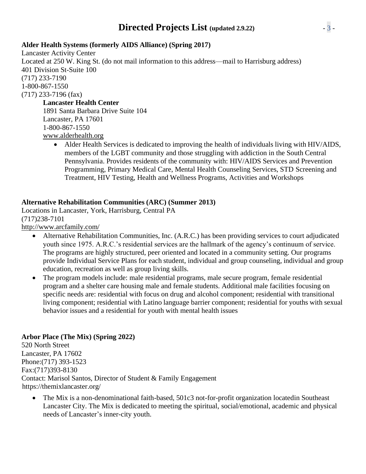## **Directed Projects List (updated 2.9.22)** - 3 -

### **Alder Health Systems (formerly AIDS Alliance) (Spring 2017)**

Lancaster Activity Center Located at 250 W. King St. (do not mail information to this address—mail to Harrisburg address) 401 Division St-Suite 100 (717) 233-7190 1-800-867-1550 (717) 233-7196 (fax)

### **Lancaster Health Center**

1891 Santa Barbara Drive Suite 104 Lancaster, PA 17601 1-800-867-1550 [www.alderhealth.org](http://www.alderhealth.org/)

• Alder Health Services is dedicated to improving the health of individuals living with HIV/AIDS, members of the LGBT community and those struggling with addiction in the South Central Pennsylvania. Provides residents of the community with: HIV/AIDS Services and Prevention Programming, Primary Medical Care, Mental Health Counseling Services, STD Screening and Treatment, HIV Testing, Health and Wellness Programs, Activities and Workshops

### **Alternative Rehabilitation Communities (ARC) (Summer 2013)**

Locations in Lancaster, York, Harrisburg, Central PA (717)238-7101 <http://www.arcfamily.com/>

- Alternative Rehabilitation Communities, Inc. (A.R.C.) has been providing services to court adjudicated youth since 1975. A.R.C.'s residential services are the hallmark of the agency's continuum of service. The programs are highly structured, peer oriented and located in a community setting. Our programs provide Individual Service Plans for each student, individual and group counseling, individual and group education, recreation as well as group living skills.
- The program models include: male residential programs, male secure program, female residential program and a shelter care housing male and female students. Additional male facilities focusing on specific needs are: residential with focus on drug and alcohol component; residential with transitional living component; residential with Latino language barrier component; residential for youths with sexual behavior issues and a residential for youth with mental health issues

### **Arbor Place (The Mix) (Spring 2022)**

520 North Street Lancaster, PA 17602 Phone:(717) 393-1523 Fax:(717)393-8130 Contact: Marisol Santos, Director of Student & Family Engagement https://themixlancaster.org/

• The Mix is a non-denominational faith-based, 501c3 not-for-profit organization locatedin Southeast Lancaster City. The Mix is dedicated to meeting the spiritual, social/emotional, academic and physical needs of Lancaster's inner-city youth.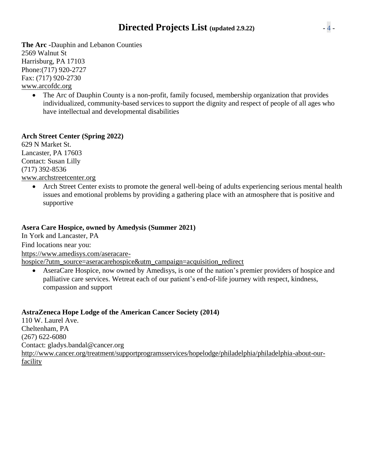## **Directed Projects List (updated 2.9.22)** - 4 -

**The Arc -**Dauphin and Lebanon Counties 2569 Walnut St Harrisburg, PA 17103 Phone:(717) 920-2727 Fax: (717) 920-2730 [www.arcofdc.org](http://www.arcofdc.org/)

• The Arc of Dauphin County is a non-profit, family focused, membership organization that provides individualized, community-based services to support the dignity and respect of people of all ages who have intellectual and developmental disabilities

### **Arch Street Center (Spring 2022)**

629 N Market St. Lancaster, PA 17603 Contact: Susan Lilly (717) 392-8536 [www.archstreetcenter.org](http://www.archstreetcenter.org/)

> • Arch Street Center exists to promote the general well-being of adults experiencing serious mental health issues and emotional problems by providing a gathering place with an atmosphere that is positive and supportive

### **Asera Care Hospice, owned by Amedysis (Summer 2021)**

In York and Lancaster, PA

Find locations near you:

https://www.amedisys.com/aseracare-

hospice/?utm\_source=aseracarehospice&utm\_campaign=acquisition\_redirect

• AseraCare Hospice, now owned by Amedisys, is one of the nation's premier providers of hospice and palliative care services. Wetreat each of our patient's end-of-life journey with respect, kindness, compassion and support

### **AstraZeneca Hope Lodge of the American Cancer Society (2014)**

110 W. Laurel Ave. Cheltenham, PA (267) 622-6080 Contact: [gladys.bandal@cancer.org](mailto:gladys.bandal@cancer.org) [http://www.cancer.org/treatment/supportprogramsservices/hopelodge/philadelphia/philadelphia-about-our](http://www.cancer.org/treatment/supportprogramsservices/hopelodge/philadelphia/philadelphia-about-our-)facility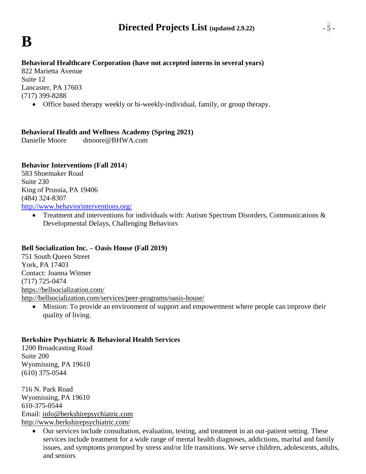### **Behavioral Healthcare Corporation (have not accepted interns in several years)**

822 Marietta Avenue Suite 12 Lancaster, PA 17603 (717) 399-8288

• Office based therapy weekly or bi-weekly-individual, family, or group therapy.

### **Behavioral Health and Wellness Academy (Spring 2021)**

Danielle Moore dmoore@BHWA.com

### **Behavior Interventions (Fall 2014**)

583 Shoemaker Road Suite 230 King of Prussia, PA 19406 (484) 324-8307 <http://www.behaviorinterventions.org/>

> • Treatment and interventions for individuals with: Autism Spectrum Disorders, Communications & Developmental Delays, Challenging Behaviors

### **Bell Socialization Inc. – Oasis House (Fall 2019)**

751 South Queen Street York, PA 17403 Contact: Joanna Witmer (717) 725-0474 <https://bellsocialization.com/> <http://bellsocialization.com/services/peer-programs/oasis-house/>

• Mission: To provide an environment of support and empowerment where people can improve their quality of living.

### **Berkshire Psychiatric & Behavioral Health Services**

1200 Broadcasting Road Suite 200 Wyomissing, PA 19610 (610) 375-0544

716 N. Park Road Wyomissing, PA 19610 610-375-0544 Email: [info@berkshirepsychiatric.com](mailto:info@berkshirepsychiatric.com) <http://www.berkshirepsychiatric.com/>

• Our services include consultation, evaluation, testing, and treatment in an out-patient setting. These services include treatment for a wide range of mental health diagnoses, addictions, marital and family issues, and symptoms prompted by stress and/or life transitions. We serve children, adolescents, adults, and seniors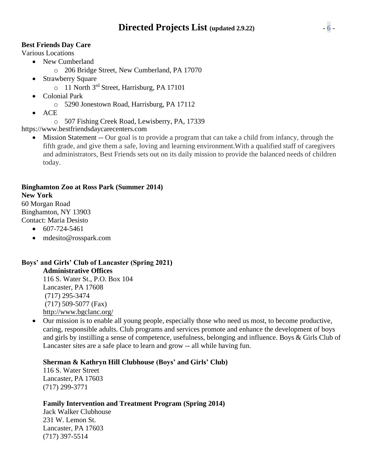### **Best Friends Day Care**

Various Locations

- New Cumberland
	- o 206 Bridge Street, New Cumberland, PA 17070
- Strawberry Square
	- o 11 North 3<sup>rd</sup> Street, Harrisburg, PA 17101
- Colonial Park
	- o 5290 Jonestown Road, Harrisburg, PA 17112
- ACE
	- o 507 Fishing Creek Road, Lewisberry, PA, 17339

https:/[/www.bestfriendsdaycarecenters.com](http://www.bestfriendsdaycarecenters.com/)

• Mission Statement -- Our goal is to provide a program that can take a child from infancy, through the fifth grade, and give them a safe, loving and learning environment.With a qualified staff of caregivers and administrators, Best Friends sets out on its daily mission to provide the balanced needs of children today.

### **Binghamton Zoo at Ross Park (Summer 2014)**

### **New York**

60 Morgan Road Binghamton, NY 13903 Contact: Maria Desisto

- $\bullet$  607-724-5461
- [mdesito@rosspark.com](mailto:mdesito@rosspark.com)

### **Boys' and Girls' Club of Lancaster (Spring 2021)**

**Administrative Offices** 116 S. Water St., P.O. Box 104 Lancaster, PA 17608 (717) 295-3474 (717) 509-5077 (Fax) <http://www.bgclanc.org/>

• Our mission is to enable all young people, especially those who need us most, to become productive, caring, responsible adults. Club programs and services promote and enhance the development of boys and girls by instilling a sense of competence, usefulness, belonging and influence. Boys & Girls Club of Lancaster sites are a safe place to learn and grow -- all while having fun.

### **Sherman & Kathryn Hill Clubhouse (Boys' and Girls' Club)**

116 S. Water Street Lancaster, PA 17603 (717) 299-3771

### **Family Intervention and Treatment Program (Spring 2014)**

Jack Walker Clubhouse 231 W. Lemon St. Lancaster, PA 17603 (717) 397-5514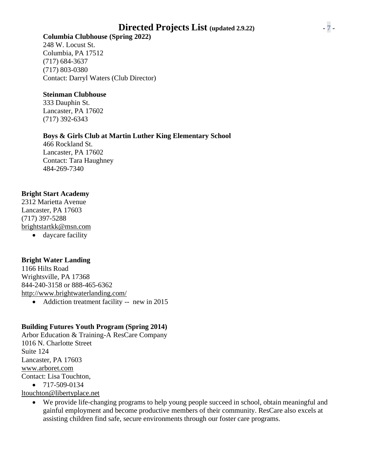## **Directed Projects List (updated 2.9.22)** - 7 -

### **Columbia Clubhouse (Spring 2022)**

248 W. Locust St. Columbia, PA 17512 (717) 684-3637 (717) 803-0380 Contact: Darryl Waters (Club Director)

### **Steinman Clubhouse**

333 Dauphin St. Lancaster, PA 17602 (717) 392-6343

### **Boys & Girls Club at Martin Luther King Elementary School**

466 Rockland St. Lancaster, PA 17602 Contact: Tara Haughney 484-269-7340

### **Bright Start Academy**

2312 Marietta Avenue Lancaster, PA 17603 (717) 397-5288 [brightstartkk@msn.com](mailto:brightstartkk@msn.com) • daycare facility

### **Bright Water Landing**

1166 Hilts Road Wrightsville, PA 17368 844-240-3158 or 888-465-6362 <http://www.brightwaterlanding.com/> • Addiction treatment facility -- new in 2015

### **Building Futures Youth Program (Spring 2014)**

Arbor Education & Training-A ResCare Company 1016 N. Charlotte Street Suite 124 Lancaster, PA 17603 [www.arboret.com](http://www.arboret.com/) Contact: Lisa Touchton, • 717-509-0134

[ltouchton@libertyplace.net](mailto:ltouchton@libertyplace.net)

• We provide life-changing programs to help young people succeed in school, obtain meaningful and gainful employment and become productive members of their community. ResCare also excels at assisting children find safe, secure environments through our foster care programs.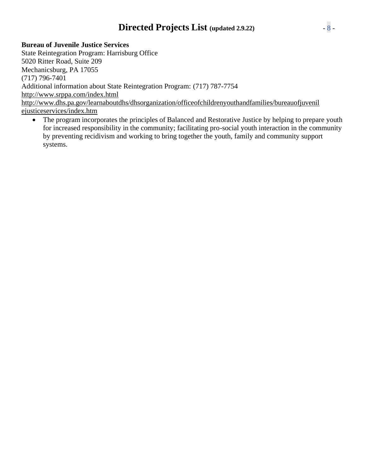## **Directed Projects List (updated 2.9.22)** - 8 -

**Bureau of Juvenile Justice Services**

State Reintegration Program: Harrisburg Office 5020 Ritter Road, Suite 209 Mechanicsburg, PA 17055 (717) 796-7401 Additional information about State Reintegration Program: (717) 787-7754 <http://www.srppa.com/index.html> [http://www.dhs.pa.gov/learnaboutdhs/dhsorganization/officeofchildrenyouthandfamilies/bureauofjuvenil](http://www.dhs.pa.gov/learnaboutdhs/dhsorganization/officeofchildrenyouthandfamilies/bureauofjuvenilejusticeservices/index.htm) [ejusticeservices/index.htm](http://www.dhs.pa.gov/learnaboutdhs/dhsorganization/officeofchildrenyouthandfamilies/bureauofjuvenilejusticeservices/index.htm)

The program incorporates the principles of Balanced and Restorative Justice by helping to prepare youth for increased responsibility in the community; facilitating pro-social youth interaction in the community by preventing recidivism and working to bring together the youth, family and community support systems.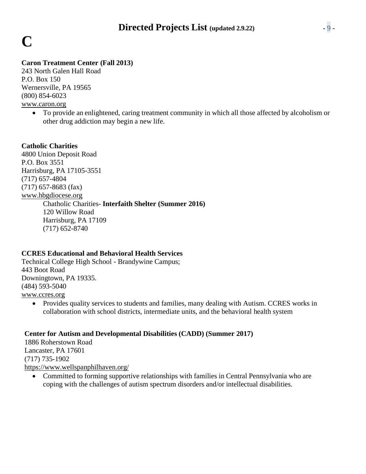# **C**

### **Caron Treatment Center (Fall 2013)**

243 North Galen Hall Road P.O. Box 150 Wernersville, PA 19565 (800) 854-6023 [www.caron.org](http://www.caron.org/)

> • To provide an enlightened, caring treatment community in which all those affected by alcoholism or other drug addiction may begin a new life.

### **Catholic Charities**

4800 Union Deposit Road P.O. Box 3551 Harrisburg, PA 17105-3551 (717) 657-4804 (717) 657-8683 (fax) [www.hbgdiocese.org](http://www.hbgdiocese.org/) Chatholic Charities- **Interfaith Shelter (Summer 2016)** 120 Willow Road Harrisburg, PA 17109 (717) 652-8740

### **CCRES Educational and Behavioral Health Services**

Technical College High School - Brandywine Campus; 443 Boot Road Downingtown, PA 19335. (484) 593-5040 [www.ccres.org](http://www.ccres.org/)

• Provides quality services to students and families, many dealing with Autism. CCRES works in collaboration with school districts, intermediate units, and the behavioral health system

### **Center for Autism and Developmental Disabilities (CADD) (Summer 2017)**

1886 Roherstown Road Lancaster, PA 17601 (717) 735-1902 <https://www.wellspanphilhaven.org/>

• Committed to forming supportive relationships with families in Central Pennsylvania who are coping with the challenges of autism spectrum disorders and/or intellectual disabilities.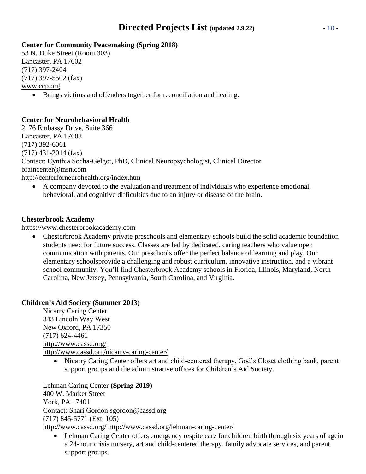## **Directed Projects List (updated 2.9.22)** - 10 -

### **Center for Community Peacemaking (Spring 2018)**

53 N. Duke Street (Room 303) Lancaster, PA 17602 (717) 397-2404 (717) 397-5502 (fax) [www.ccp.org](http://www.ccp.org/)

• Brings victims and offenders together for reconciliation and healing.

### **Center for Neurobehavioral Health**

2176 Embassy Drive, Suite 366 Lancaster, PA 17603 (717) 392-6061 (717) 431-2014 (fax) Contact: Cynthia Socha-Gelgot, PhD, Clinical Neuropsychologist, Clinical Director [braincenter@msn.com](mailto:braincenter@msn.com) <http://centerforneurohealth.org/index.htm>

• A company devoted to the evaluation and treatment of individuals who experience emotional, behavioral, and cognitive difficulties due to an injury or disease of the brain.

### **Chesterbrook Academy**

https:/[/www.chesterbrookacademy.com](http://www.chesterbrookacademy.com/)

• Chesterbrook Academy private [preschools a](http://www.chesterbrookacademy.com/preschool/)nd [elementary schools b](http://www.chesterbrookacademy.com/elementary-school/)uild the solid academic foundation students need for future success. Classes are led by dedicated, caring teachers who value open communication with parents. Our [preschools o](http://www.chesterbrookacademy.com/preschool/)ffer the perfect balance of learning and play. Our [elementary schoolsp](http://www.chesterbrookacademy.com/elementary-school/)rovide a challenging and robust [curriculum,](http://www.chesterbrookacademy.com/elementary-school/core-curriculum/) innovative instruction, and a vibrant school community. You'll find Chesterbrook Academy schools in [Florida,](http://www.chesterbrookacademy.com/find-a-school/?address=Florida) [Illinois,](http://www.chesterbrookacademy.com/find-a-school/?address=Illinois) [Maryland,](http://www.chesterbrookacademy.com/find-a-school/?address=Maryland) [North](http://www.chesterbrookacademy.com/find-a-school/?address=North%20Carolina) [Carolina,](http://www.chesterbrookacademy.com/find-a-school/?address=North%20Carolina) New [Jersey,](http://www.chesterbrookacademy.com/find-a-school/?address=New%20Jersey) [Pennsylvania,](http://www.chesterbrookacademy.com/find-a-school/?address=Pennsylvania) [South Carolina,](http://www.chesterbrookacademy.com/find-a-school/?address=South%20Carolina) and [Virginia.](http://www.chesterbrookacademy.com/find-a-school/?address=Virginia)

### **Children's Aid Society (Summer 2013)**

Nicarry Caring Center 343 Lincoln Way West New Oxford, PA 17350 (717) 624-4461 <http://www.cassd.org/> <http://www.cassd.org/nicarry-caring-center/>

• Nicarry Caring Center offers art and child-centered therapy, God's Closet clothing bank, parent support groups and the administrative offices for Children's Aid Society.

Lehman Caring Center **(Spring 2019)** 400 W. Market Street York, PA 17401 Contact: Shari Gordon [sgordon@cassd.org](mailto:sgordon@cassd.org) (717) 845-5771 (Ext. 105) <http://www.cassd.org/> <http://www.cassd.org/lehman-caring-center/>

• Lehman Caring Center offers emergency respite care for children birth through six years of agein a 24-hour crisis nursery, art and child-centered therapy, family advocate services, and parent support groups.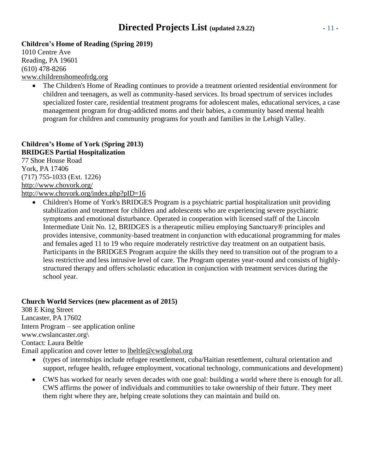## **Directed Projects List (updated 2.9.22)** - 11 -

### **Children's Home of Reading (Spring 2019)**

1010 Centre Ave Reading, PA 19601 (610) 478-8266 [www.childrenshomeofrdg.org](http://www.childrenshomeofrdg.org/)

• The Children's Home of Reading continues to provide a treatment oriented residential environment for children and teenagers, as well as community-based services. Its broad spectrum of services includes specialized foster care, residential treatment programs for adolescent males, educational services, a case management program for drug-addicted moms and their babies, a community based mental health program for children and community programs for youth and families in the Lehigh Valley.

### **Children's Home of York (Spring 2013) BRIDGES Partial Hospitalization**

77 Shoe House Road York, PA 17406 (717) 755-1033 (Ext. 1226) <http://www.choyork.org/> <http://www.choyork.org/index.php?pID=16>

• Children's Home of York's BRIDGES Program is a psychiatric partial hospitalization unit providing stabilization and treatment for children and adolescents who are experiencing severe psychiatric symptoms and emotional disturbance. Operated in cooperation with licensed staff of the Lincoln Intermediate Unit No. 12, BRIDGES is a therapeutic milieu employing Sanctuary® principles and provides intensive, community-based treatment in conjunction with educational programming for males and females aged 11 to 19 who require moderately restrictive day treatment on an outpatient basis. Participants in the BRIDGES Program acquire the skills they need to transition out of the program to a less restrictive and less intrusive level of care. The Program operates year-round and consists of highlystructured therapy and offers scholastic education in conjunction with treatment services during the school year.

### **Church World Services (new placement as of 2015)**

308 E King Street Lancaster, PA 17602 Intern Program – see application online www.cwslancaster.org\ Contact: Laura Beltle Email application and cover letter to [lbeltle@cwsglobal.org](mailto:lbeltle@cwsglobal.org)

- (types of internships include refugee resettlement, cuba/Haitian resettlement, cultural orientation and support, refugee health, refugee employment, vocational technology, communications and development)
- CWS has worked for nearly seven decades with one goal: building a world where there is enough for all. CWS affirms the power of individuals and communities to take ownership of their future. They meet them right where they are, helping create solutions they can maintain and build on.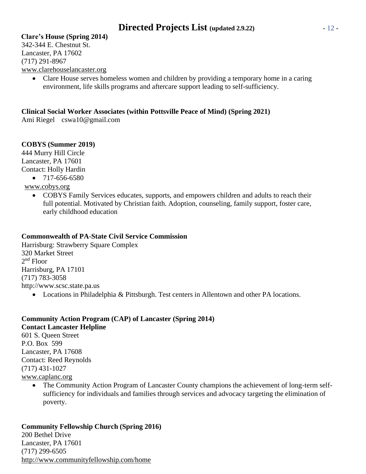### **Clare's House (Spring 2014)**

342-344 E. Chestnut St. Lancaster, PA 17602 (717) 291-8967 [www.clarehouselancaster.org](http://www.clarehouselancaster.org/)

• Clare House serves homeless women and children by providing a temporary home in a caring environment, life skills programs and aftercare support leading to self-sufficiency.

### **Clinical Social Worker Associates (within Pottsville Peace of Mind) (Spring 2021)**

Ami Riegel cswa10@gmail.com

### **COBYS (Summer 2019)**

444 Murry Hill Circle Lancaster, PA 17601 Contact: Holly Hardin

- $\bullet$  717-656-6580
- [www.cobys.org](http://www.cobys.org/)
	- COBYS Family Services educates, supports, and empowers children and adults to reach their full potential. Motivated by Christian faith. Adoption, counseling, family support, foster care, early childhood education

### **Commonwealth of PA-State Civil Service Commission**

Harrisburg: Strawberry Square Complex 320 Market Street 2<sup>nd</sup> Floor Harrisburg, PA 17101 (717) 783-3058 [http://www.scsc.state.pa.us](http://www.scsc.state.pa.us/)

• Locations in Philadelphia & Pittsburgh. Test centers in Allentown and other PA locations.

### **Community Action Program (CAP) of Lancaster (Spring 2014) Contact Lancaster Helpline** 601 S. Queen Street P.O. Box 599 Lancaster, PA 17608 Contact: Reed Reynolds (717) 431-1027 [www.caplanc.org](http://www.caplanc.org/)

• The Community Action Program of Lancaster County champions the achievement of long-term selfsufficiency for individuals and families through services and advocacy targeting the elimination of poverty.

## **Community Fellowship Church (Spring 2016)**

200 Bethel Drive Lancaster, PA 17601 (717) 299-6505 <http://www.communityfellowship.com/home>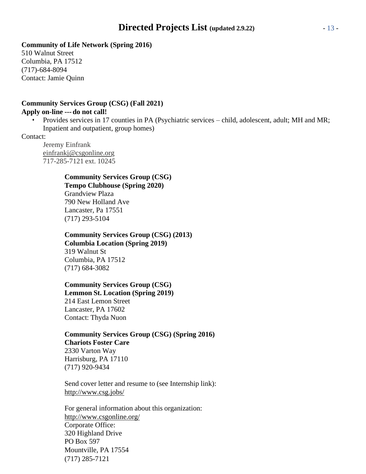### **Community of Life Network (Spring 2016)**

510 Walnut Street Columbia, PA 17512 (717)-684-8094 Contact: Jamie Quinn

### **Community Services Group (CSG) (Fall 2021) Apply on-line ---do not call!**

• Provides services in 17 counties in PA (Psychiatric services – child, adolescent, adult; MH and MR; Inpatient and outpatient, group homes)

Contact:

Jeremy Einfrank [einfrankj@csgonline.org](mailto:einfrank@csgonline.org) 717-285-7121 ext. 10245

### **Community Services Group (CSG) Tempo Clubhouse (Spring 2020)** Grandview Plaza 790 New Holland Ave Lancaster, Pa 17551

(717) 293-5104

### **Community Services Group (CSG) (2013)**

**Columbia Location (Spring 2019)** 319 Walnut St Columbia, PA 17512 (717) 684-3082

## **Community Services Group (CSG)**

**Lemmon St. Location (Spring 2019)** 214 East Lemon Street Lancaster, PA 17602 Contact: Thyda Nuon

### **Community Services Group (CSG) (Spring 2016) Chariots Foster Care** 2330 Varton Way

Harrisburg, PA 17110 (717) 920-9434

Send cover letter and resume to (see Internship link): <http://www.csg.jobs/>

For general information about this organization: <http://www.csgonline.org/> Corporate Office: 320 Highland Drive PO Box 597 Mountville, PA 17554 (717) 285-7121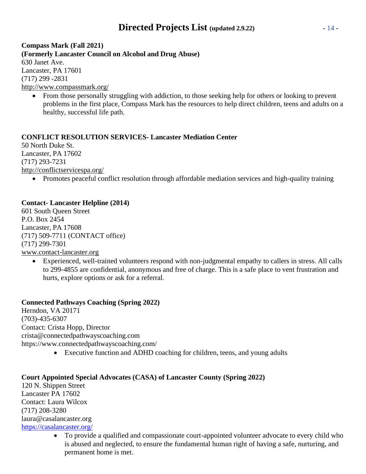## **Directed Projects List (updated 2.9.22)** - 14 -

**Compass Mark (Fall 2021) (Formerly Lancaster Council on Alcohol and Drug Abuse)** 630 Janet Ave. Lancaster, PA 17601 (717) 299 -2831 <http://www.compassmark.org/>

• From those personally struggling with addiction, to those seeking help for others or looking to prevent problems in the first place, Compass Mark has the resources to help direct children, teens and adults on a healthy, successful life path.

### **CONFLICT RESOLUTION SERVICES- Lancaster Mediation Center**

50 North Duke St. Lancaster, PA 17602 (717) 293-7231 <http://conflictservicespa.org/>

• Promotes peaceful conflict resolution through affordable mediation services and high-quality training

### **Contact- Lancaster Helpline (2014)**

601 South Queen Street P.O. Box 2454 Lancaster, PA 17608 (717) 509-7711 (CONTACT office) (717) 299-7301 [www.contact-lancaster.org](http://www.contact-lancaster.org/)

• Experienced, well-trained volunteers respond with non-judgmental empathy to callers in stress. All calls to 299-4855 are confidential, anonymous and free of charge. This is a safe place to vent frustration and hurts, explore options or ask for a referral.

### **Connected Pathways Coaching (Spring 2022)**

Herndon, VA 20171 (703)-435-6307 Contact: Crista Hopp, Director crista@connectedpathwayscoaching.com https://www.connectedpathwayscoaching.com/

• Executive function and ADHD coaching for children, teens, and young adults

### **Court Appointed Special Advocates (CASA) of Lancaster County (Spring 2022)**

120 N. Shippen Street Lancaster PA 17602 Contact: Laura Wilcox (717) 208-3280 laura@casalancaster.org <https://casalancaster.org/>

> • To provide a qualified and compassionate court-appointed volunteer advocate to every child who is abused and neglected, to ensure the fundamental human right of having a safe, nurturing, and permanent home is met.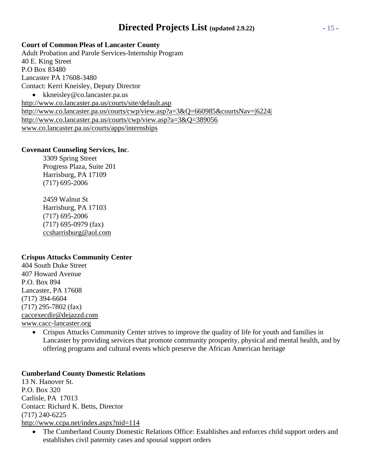## **Directed Projects List (updated 2.9.22)** - 15 -

### **Court of Common Pleas of Lancaster County**

Adult Probation and Parole Services-Internship Program 40 E. King Street P.O Box 83480 Lancaster PA 17608-3480 Contact: Kerri Kneisley, Deputy Director • [kkneisley@co.lancaster.pa.us](mailto:kkneisley@co.lancaster.pa.us) <http://www.co.lancaster.pa.us/courts/site/default.asp> [http://www.co.lancaster.pa.us/courts/cwp/view.asp?a=3&Q=660985&courtsNav=|6](http://www.co.lancaster.pa.us/courts/cwp/view.asp?a=3&Q=660985&courtsNav)224| <http://www.co.lancaster.pa.us/courts/cwp/view.asp?a=3&Q=389056> [www.co.lancaster.pa.us/courts/apps/internships](http://www.co.lancaster.pa.us/courts/apps/internships)

### **Covenant Counseling Services, Inc**.

3309 Spring Street Progress Plaza, Suite 201 Harrisburg, PA 17109 (717) 695-2006

2459 Walnut St Harrisburg, PA 17103 (717) 695-2006 (717) 695-0979 (fax) [ccsharrisburg@aol.com](mailto:ccsharrisburg@aol.com)

### **Crispus Attucks Community Center**

404 South Duke Street 407 Howard Avenue P.O. Box 894 Lancaster, PA 17608 (717) 394-6604 (717) 295-7802 (fax) [caccexecdir@dejazzd.com](mailto:caccexecdir@dejazzd.com) [www.cacc-lancaster.org](http://www.cacc-lancaster.org/)

> • Crispus Attucks Community Center strives to improve the quality of life for youth and families in Lancaster by providing services that promote community prosperity, physical and mental health, and by offering programs and cultural events which preserve the African American heritage

### **Cumberland County Domestic Relations**

13 N. Hanover St. P.O. Box 320 Carlisle, PA 17013 Contact: Richard K. Betts, Director (717) 240-6225 <http://www.ccpa.net/index.aspx?nid=114>

• The Cumberland County Domestic Relations Office: Establishes and enforces child support orders and establishes civil paternity cases and spousal support orders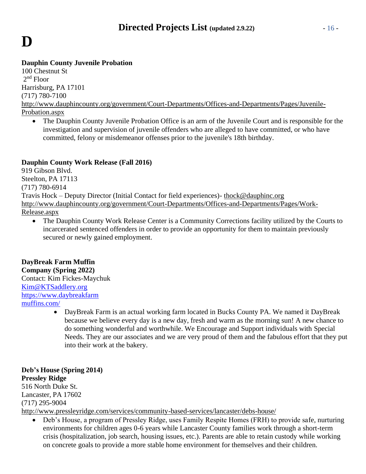# **D**

### **Dauphin County Juvenile Probation**

100 Chestnut St 2 nd Floor Harrisburg, PA 17101 (717) 780-7100 [http://www.dauphincounty.org/government/Court-Departments/Offices-and-Departments/Pages/Juvenile-](http://www.dauphincounty.org/government/Court-Departments/Offices-and-Departments/Pages/Juvenile-Probation.aspx)[Probation.aspx](http://www.dauphincounty.org/government/Court-Departments/Offices-and-Departments/Pages/Juvenile-Probation.aspx)

• The Dauphin County Juvenile Probation Office is an arm of the Juvenile Court and is responsible for the investigation and supervision of juvenile offenders who are alleged to have committed, or who have committed, felony or misdemeanor offenses prior to the juvenile's 18th birthday.

### **Dauphin County Work Release (Fall 2016)**

919 Gibson Blvd. Steelton, PA 17113 (717) 780-6914 Travis Hock – Deputy Director (Initial Contact for field experiences)- [thock@dauphinc.org](mailto:thock@dauphinc.org) [http://www.dauphincounty.org/government/Court-Departments/Offices-and-Departments/Pages/Work-](http://www.dauphincounty.org/government/Court-Departments/Offices-and-Departments/Pages/Work-Release.aspx)[Release.aspx](http://www.dauphincounty.org/government/Court-Departments/Offices-and-Departments/Pages/Work-Release.aspx)

• The Dauphin County Work Release Center is a Community Corrections facility utilized by the Courts to incarcerated sentenced offenders in order to provide an opportunity for them to maintain previously secured or newly gained employment.

## **DayBreak Farm Muffin**

**Company (Spring 2022)** Contact: Kim Fickes-Maychuk [Kim@KTSaddlery.org](mailto:Kim@KTSaddlery.org) [https://www.daybreakfarm](https://www.daybreakfarmmuffins.com/) [muffins.com/](https://www.daybreakfarmmuffins.com/)

> • DayBreak Farm is an actual working farm located in Bucks County PA. We named it DayBreak because we believe every day is a new day, fresh and warm as the morning sun! A new chance to do something wonderful and worthwhile. We Encourage and Support individuals with Special Needs. They are our associates and we are very proud of them and the fabulous effort that they put into their work at the bakery.

### **Deb's House (Spring 2014) Pressley Ridge** 516 North Duke St.

Lancaster, PA 17602 (717) 295-9004

<http://www.pressleyridge.com/services/community-based-services/lancaster/debs-house/>

• Deb's House, a program of Pressley Ridge, uses Family Respite Homes (FRH) to provide safe, nurturing environments for children ages 0-6 years while Lancaster County families work through a short-term crisis (hospitalization, job search, housing issues, etc.). Parents are able to retain custody while working on concrete goals to provide a more stable home environment for themselves and their children.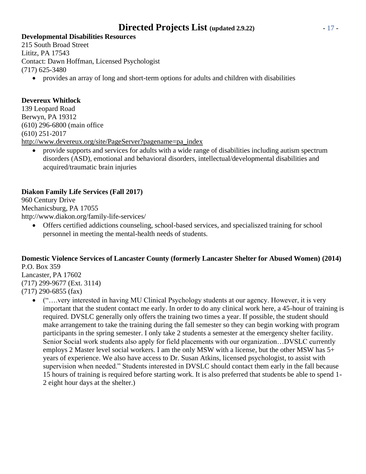## **Directed Projects List (updated 2.9.22)** - 17 -

### **Developmental Disabilities Resources**

215 South Broad Street Lititz, PA 17543 Contact: Dawn Hoffman, Licensed Psychologist (717) 625-3480

• provides an array of long and short-term options for adults and children with disabilities

### **Devereux Whitlock**

139 Leopard Road Berwyn, PA 19312 (610) 296-6800 (main office (610) 251-2017 [http://www.devereux.org/site/PageServer?pagename=pa\\_index](http://www.devereux.org/site/PageServer?pagename=pa_index)

• provide supports and services for adults with a wide range of disabilities including autism spectrum disorders (ASD), emotional and behavioral disorders, intellectual/developmental disabilities and acquired/traumatic brain injuries

### **Diakon Family Life Services (Fall 2017)**

960 Century Drive Mechanicsburg, PA 17055 <http://www.diakon.org/family-life-services/>

• Offers certified addictions counseling, school-based services, and specialiszed training for school personnel in meeting the mental-health needs of students.

### **Domestic Violence Services of Lancaster County (formerly Lancaster Shelter for Abused Women) (2014)** P.O. Box 359

Lancaster, PA 17602 (717) 299-9677 (Ext. 3114) (717) 290-6855 (fax)

• ("....very interested in having MU Clinical Psychology students at our agency. However, it is very important that the student contact me early. In order to do any clinical work here, a 45-hour of training is required. DVSLC generally only offers the training two times a year. If possible, the student should make arrangement to take the training during the fall semester so they can begin working with program participants in the spring semester. I only take 2 students a semester at the emergency shelter facility. Senior Social work students also apply for field placements with our organization…DVSLC currently employs 2 Master level social workers. I am the only MSW with a license, but the other MSW has 5+ years of experience. We also have access to Dr. Susan Atkins, licensed psychologist, to assist with supervision when needed." Students interested in DVSLC should contact them early in the fall because 15 hours of training is required before starting work. It is also preferred that students be able to spend 1- 2 eight hour days at the shelter.)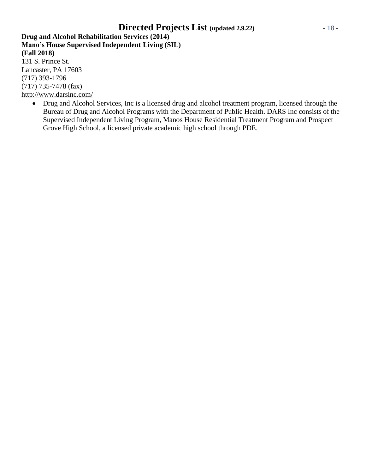## **Directed Projects List (updated 2.9.22)** - 18 -

**Drug and Alcohol Rehabilitation Services (2014) Mano's House Supervised Independent Living (SIL) (Fall 2018)** 131 S. Prince St.

Lancaster, PA 17603 (717) 393-1796 (717) 735-7478 (fax) <http://www.darsinc.com/>

> • Drug and Alcohol Services, Inc is a licensed drug and alcohol treatment program, licensed through the Bureau of Drug and Alcohol Programs with the Department of Public Health. DARS Inc consists of the Supervised Independent Living Program, Manos House Residential Treatment Program and Prospect Grove High School, a licensed private academic high school through PDE.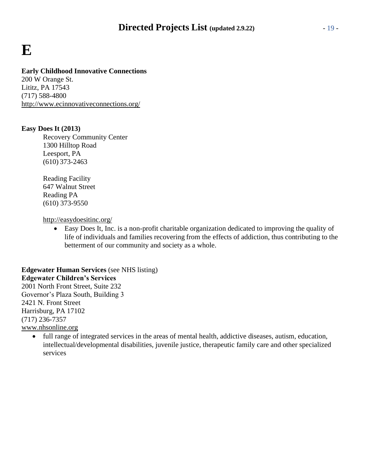## **E**

### **Early Childhood Innovative Connections**

200 W Orange St. Lititz, PA 17543 (717) 588-4800 <http://www.ecinnovativeconnections.org/>

### **Easy Does It (2013)**

Recovery Community Center 1300 Hilltop Road Leesport, PA (610) 373-2463

Reading Facility 647 Walnut Street Reading PA (610) 373-9550

<http://easydoesitinc.org/>

• Easy Does It, Inc. is a non-profit charitable organization dedicated to improving the quality of life of individuals and families recovering from the effects of addiction, thus contributing to the betterment of our community and society as a whole.

**Edgewater Human Services** (see NHS listing) **Edgewater Children's Services** 2001 North Front Street, Suite 232 Governor's Plaza South, Building 3 2421 N. Front Street Harrisburg, PA 17102 (717) 236-7357 [www.nhsonline.org](http://www.nhsonline.org/)

• full range of integrated services in the areas of mental health, addictive diseases, autism, education, intellectual/developmental disabilities, juvenile justice, therapeutic family care and other specialized services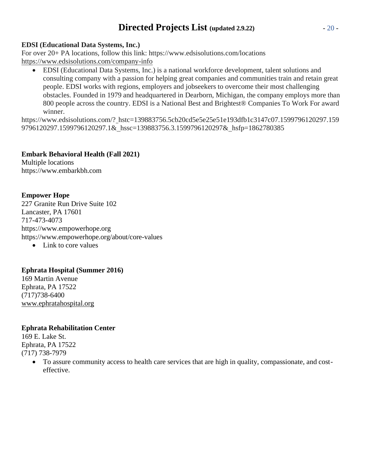## **Directed Projects List (updated 2.9.22)** - 20 -

### **EDSI (Educational Data Systems, Inc.)**

For over 20+ PA locations, follow this link: https:/[/www.edsisolutions.com/locations](http://www.edsisolutions.com/locations) <https://www.edsisolutions.com/company-info>

• EDSI (Educational Data Systems, Inc.) is a national workforce development, talent solutions and consulting company with a passion for helping great companies and communities train and retain great people. EDSI works with regions, employers and jobseekers to overcome their most challenging obstacles. Founded in 1979 and headquartered in Dearborn, Michigan, the company employs more than 800 people across the country. EDSI is a National Best and Brightest® Companies To Work For award winner.

https:/[/www.edsisolutions.com/?](http://www.edsisolutions.com/) hstc=139883756.5cb20cd5e5e25e51e193dfb1c3147c07.1599796120297.159 9796120297.1599796120297.1& hssc=139883756.3.1599796120297& hsfp=1862780385

**Embark Behavioral Health (Fall 2021)**

Multiple locations https://www.embarkbh.com

### **Empower Hope**

227 Granite Run Drive Suite 102 Lancaster, PA 17601 717-473-4073 https:/[/www.empowerhope.org](http://www.empowerhope.org/) https:/[/www.empowerhope.org/about/core-values](http://www.empowerhope.org/about/core-values) • Link to core values

### **Ephrata Hospital (Summer 2016)**

169 Martin Avenue Ephrata, PA 17522 (717)738-6400 [www.ephratahospital.org](http://www.ephratahospital.org/)

### **Ephrata Rehabilitation Center**

169 E. Lake St. Ephrata, PA 17522 (717) 738-7979

> • To assure community access to health care services that are high in quality, compassionate, and costeffective.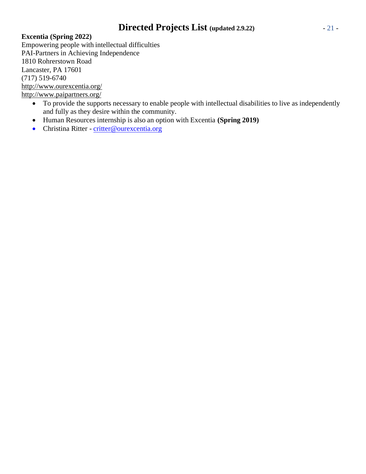## **Directed Projects List (updated 2.9.22)** - 21 -

### **Excentia (Spring 2022)**

Empowering people with intellectual difficulties PAI-Partners in Achieving Independence 1810 Rohrerstown Road Lancaster, PA 17601 (717) 519-6740 <http://www.ourexcentia.org/> <http://www.paipartners.org/>

- To provide the supports necessary to enable people with intellectual disabilities to live as independently and fully as they desire within the community.
- Human Resources internship is also an option with Excentia **(Spring 2019)**
- Christina Ritter [critter@ourexcentia.org](mailto:critter@ourexcentia.org)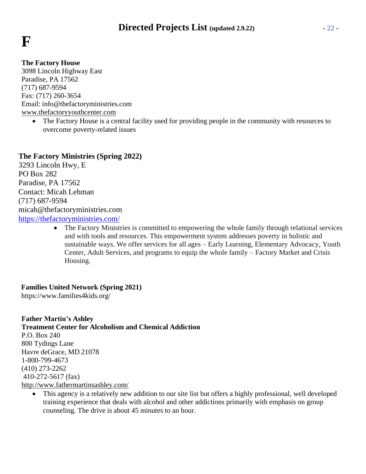

### **The Factory House**

3098 Lincoln Highway East Paradise, PA 17562 (717) 687-9594 Fax: (717) 260-3654 Email: [info@thefactoryministries.com](mailto:info@thefactoryministries.com) [www.thefactoryyouthcenter.com](http://www.thefactoryyouthcenter.com/)

• The Factory House is a central facility used for providing people in the community with resources to overcome poverty-related issues

### **The Factory Ministries (Spring 2022)**

3293 Lincoln Hwy, E PO Box 282 Paradise, PA 17562 Contact: Micah Lehman (717) 687-9594 micah@thefactoryministries.com <https://thefactoryministries.com/>

> • The Factory Ministries is committed to empowering the whole family through relational services and with tools and resources. This empowerment system addresses poverty in holistic and sustainable ways. We offer services for all ages – Early Learning, Elementary Advocacy, Youth Center, Adult Services, and programs to equip the whole family – Factory Market and Crisis Housing.

### **Families United Network (Spring 2021)**

https://www.families4kids.org/

**Father Martin's Ashley Treatment Center for Alcoholism and Chemical Addiction** P.O. Box 240 800 Tydings Lane Havre deGrace, MD 21078 1-800-799-4673 (410) 273-2262 410-272-5617 (fax) <http://www.fathermartinsashley.com/>

• This agency is a relatively new addition to our site list but offers a highly professional, well developed training experience that deals with alcohol and other addictions primarily with emphasis on group counseling. The drive is about 45 minutes to an hour.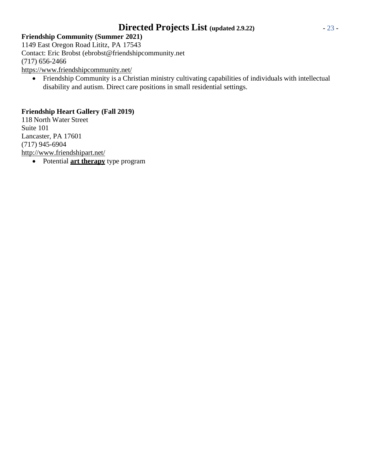## **Directed Projects List (updated 2.9.22)** - 23 -

**Friendship Community (Summer 2021)** 1149 East Oregon Road Lititz, PA 17543 Contact: Eric Brobst (ebrobst@friendshipcommunity.net (717) 656-2466 <https://www.friendshipcommunity.net/>

• Friendship Community is a Christian ministry cultivating capabilities of individuals with intellectual disability and autism. Direct care positions in small residential settings.

### **Friendship Heart Gallery (Fall 2019)**

118 North Water Street Suite 101 Lancaster, PA 17601 (717) 945-6904 <http://www.friendshipart.net/>

• Potential **art therapy** type program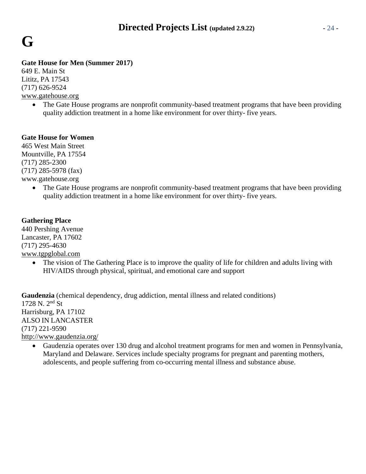

### **Gate House for Men (Summer 2017)**

649 E. Main St Lititz, PA 17543 (717) 626-9524 [www.gatehouse.org](http://www.gatehouse.org/)

• The Gate House programs are nonprofit community-based treatment programs that have been providing quality addiction treatment in a home like environment for over thirty- five years.

### **Gate House for Women**

465 West Main Street Mountville, PA 17554 (717) 285-2300 (717) 285-5978 (fax) [www.gatehouse.org](http://www.gatehouse.org/)

> • The Gate House programs are nonprofit community-based treatment programs that have been providing quality addiction treatment in a home like environment for over thirty- five years.

### **Gathering Place**

440 Pershing Avenue Lancaster, PA 17602 (717) 295-4630 [www.tgpglobal.com](http://www.tgpglobal.com/)

> • The vision of The Gathering Place is to improve the quality of life for children and adults living with HIV/AIDS through physical, spiritual, and emotional care and support

**Gaudenzia** (chemical dependency, drug addiction, mental illness and related conditions) 1728 N. 2nd St Harrisburg, PA 17102 ALSO IN LANCASTER (717) 221-9590 <http://www.gaudenzia.org/>

• Gaudenzia operates over 130 drug and alcohol treatment programs for men and women in Pennsylvania, Maryland and Delaware. Services include specialty programs for pregnant and parenting mothers, adolescents, and people suffering from co-occurring mental illness and substance abuse.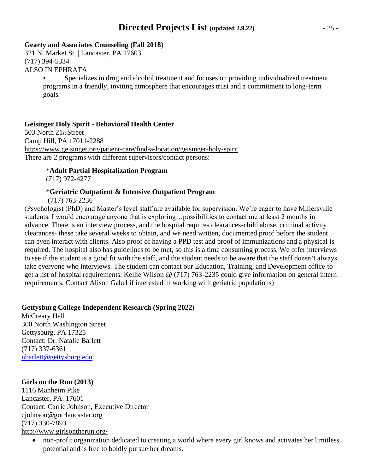## **Directed Projects List (updated 2.9.22)** - 25 -

### **Gearty and Associates Counseling (Fall 2018**)

321 N. Market St. | Lancaster, PA 17603 (717) 394-5334 ALSO IN EPHRATA

> • Specializes in drug and alcohol treatment and focuses on providing individualized treatment programs in a friendly, inviting atmosphere that encourages trust and a commitment to long-term goals.

### **Geisinger Holy Spirit - Behavioral Health Center**

503 North 21st Street Camp Hill, PA 17011-2288 <https://www.geisinger.org/patient-care/find-a-location/geisinger-holy-spirit> There are 2 programs with different supervisors/contact persons:

### \***Adult Partial Hospitalization Program**

(717) 972-4277

### \***Geriatric Outpatient & Intensive Outpatient Program**

(717) 763-2236

(Psychologist (PhD) and Master's level staff are available for supervision. We're eager to have Millersville students. I would encourage anyone that is exploring…possibilities to contact me at least 2 months in advance. There is an interview process, and the hospital requires clearances-child abuse, criminal activity clearances- these take several weeks to obtain, and we need written, documented proof before the student can even interact with clients. Also proof of having a PPD test and proof of immunizations and a physical is required. The hospital also has guidelines to be met, so this is a time consuming process. We offer interviews to see if the student is a good fit with the staff, and the student needs to be aware that the staff doesn't always take everyone who interviews. The student can contact our Education, Training, and Development office to get a list of hospital requirements. Kellie Wilson @ (717) 763-2235 could give information on general intern requirements. Contact Alison Gabel if interested in working with geriatric populations)

### **Gettysburg College Independent Research (Spring 2022)**

McCreary Hall 300 North Washington Street Gettysburg, PA 17325 Contact: Dr. Natalie Barlett (717) 337-6361 [nbarlett@gettysburg.edu](mailto:nbarlett@gettysburg.edu)

### **Girls on the Run (2013)**

1116 Manheim Pike Lancaster, PA. 17601 Contact: Carrie Johnson, Executive Director [cjohnson@gotrlancaster.org](mailto:cjohnson@gotrlancaster.org) (717) 330-7893 <http://www.girlsontherun.org/>

• non-profit organization dedicated to creating a world where every girl knows and activates her limitless potential and is free to boldly pursue her dreams.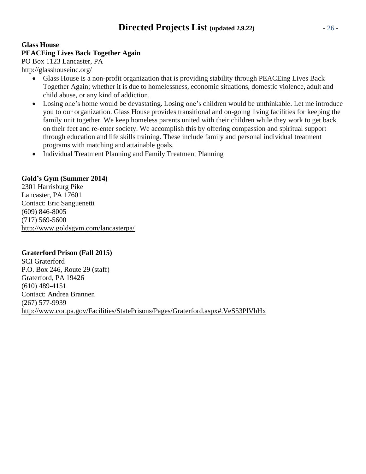### **Glass House PEACEing Lives Back Together Again** PO Box 1123 Lancaster, PA

<http://glasshouseinc.org/>

- Glass House is a non-profit organization that is providing stability through PEACEing Lives Back Together Again; whether it is due to homelessness, economic situations, domestic violence, adult and child abuse, or any kind of addiction.
- Losing one's home would be devastating. Losing one's children would be unthinkable. Let me introduce you to our organization. Glass House provides transitional and on-going living facilities for keeping the family unit together. We keep homeless parents united with their children while they work to get back on their feet and re-enter society. We accomplish this by offering compassion and spiritual support through education and life skills training. These include family and personal individual treatment programs with matching and attainable goals.
- Individual Treatment Planning and Family Treatment Planning

### **Gold's Gym (Summer 2014)**

2301 Harrisburg Pike Lancaster, PA 17601 Contact: Eric Sanguenetti (609) 846-8005 (717) 569-5600 <http://www.goldsgym.com/lancasterpa/>

### **Graterford Prison (Fall 2015)**

SCI Graterford P.O. Box 246, Route 29 (staff) Graterford, PA 19426 (610) 489-4151 Contact: Andrea Brannen (267) 577-9939 <http://www.cor.pa.gov/Facilities/StatePrisons/Pages/Graterford.aspx#.VeS53PlVhHx>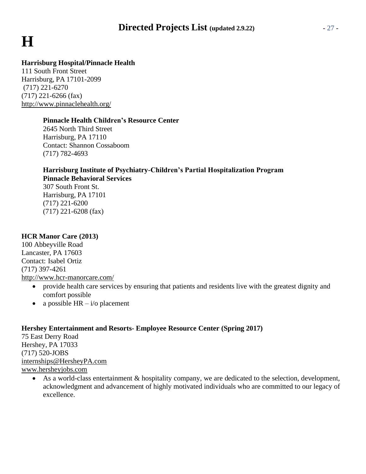## **Directed Projects List (updated 2.9.22)** - 27 -

# **H**

### **Harrisburg Hospital/Pinnacle Health**

111 South Front Street Harrisburg, PA 17101-2099 (717) 221-6270  $(717)$  221-6266 (fax) <http://www.pinnaclehealth.org/>

### **Pinnacle Health Children's Resource Center**

2645 North Third Street Harrisburg, PA 17110 Contact: Shannon Cossaboom (717) 782-4693

### **Harrisburg Institute of Psychiatry-Children's Partial Hospitalization Program Pinnacle Behavioral Services**

307 South Front St. Harrisburg, PA 17101 (717) 221-6200 (717) 221-6208 (fax)

### **HCR Manor Care (2013)**

100 Abbeyville Road Lancaster, PA 17603 Contact: Isabel Ortiz (717) 397-4261 <http://www.hcr-manorcare.com/>

- provide health care services by ensuring that patients and residents live with the greatest dignity and comfort possible
- a possible  $HR i$  placement

### **Hershey Entertainment and Resorts- Employee Resource Center (Spring 2017)**

75 East Derry Road Hershey, PA 17033 (717) 520-JOBS [internships@HersheyPA.com](mailto:internships@HersheyPA.com) [www.hersheyjobs.com](http://www.hersheyjobs.com/)

> • As a world-class entertainment & hospitality company, we are dedicated to the selection, development, acknowledgment and advancement of highly motivated individuals who are committed to our legacy of excellence.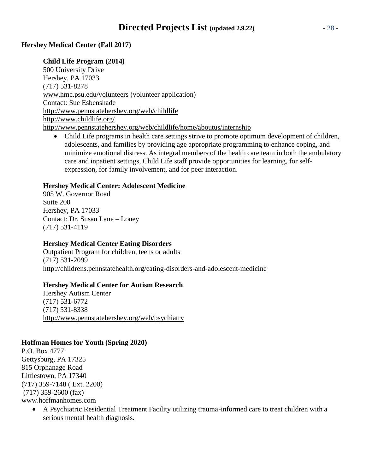### **Hershey Medical Center (Fall 2017)**

### **Child Life Program (2014)**

500 University Drive Hershey, PA 17033 (717) 531-8278 [www.hmc.psu.edu/volunteers](http://www.hmc.psu.edu/volunteers) (volunteer application) Contact: Sue Esbenshade <http://www.pennstatehershey.org/web/childlife> <http://www.childlife.org/> <http://www.pennstatehershey.org/web/childlife/home/aboutus/internship>

• Child Life programs in health care settings strive to promote optimum development of children, adolescents, and families by providing age appropriate programming to enhance coping, and minimize emotional distress. As integral members of the health care team in both the ambulatory care and inpatient settings, Child Life staff provide opportunities for learning, for selfexpression, for family involvement, and for peer interaction.

### **Hershey Medical Center: Adolescent Medicine**

905 W. Governor Road Suite 200 Hershey, PA 17033 Contact: Dr. Susan Lane – Loney (717) 531-4119

### **Hershey Medical Center Eating Disorders**

Outpatient Program for children, teens or adults (717) 531-2099 <http://childrens.pennstatehealth.org/eating-disorders-and-adolescent-medicine>

### **Hershey Medical Center for Autism Research**

Hershey Autism Center (717) 531-6772 (717) 531-8338 <http://www.pennstatehershey.org/web/psychiatry>

### **Hoffman Homes for Youth (Spring 2020)**

P.O. Box 4777 Gettysburg, PA 17325 815 Orphanage Road Littlestown, PA 17340 (717) 359-7148 ( Ext. 2200) (717) 359-2600 (fax) [www.hoffmanhomes.com](http://www.hoffmanhomes.com/)

• A Psychiatric Residential Treatment Facility utilizing trauma-informed care to treat children with a serious mental health diagnosis.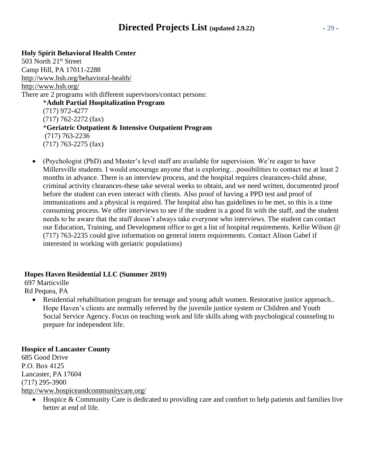## **Directed Projects List (updated 2.9.22)** - 29 -

### **Holy Spirit Behavioral Health Center** 503 North 21<sup>st</sup> Street Camp Hill, PA 17011-2288 <http://www.hsh.org/behavioral-health/> <http://www.hsh.org/> There are 2 programs with different supervisors/contact persons: \***Adult Partial Hospitalization Program** (717) 972-4277 (717) 762-2272 (fax) \***Geriatric Outpatient & Intensive Outpatient Program** (717) 763-2236 (717) 763-2275 (fax)

• (Psychologist (PhD) and Master's level staff are available for supervision. We're eager to have Millersville students. I would encourage anyone that is exploring…possibilities to contact me at least 2 months in advance. There is an interview process, and the hospital requires clearances-child abuse, criminal activity clearances-these take several weeks to obtain, and we need written, documented proof before the student can even interact with clients. Also proof of having a PPD test and proof of immunizations and a physical is required. The hospital also has guidelines to be met, so this is a time consuming process. We offer interviews to see if the student is a good fit with the staff, and the student needs to be aware that the staff doesn't always take everyone who interviews. The student can contact our Education, Training, and Development office to get a list of hospital requirements. Kellie Wilson @ (717) 763-2235 could give information on general intern requirements. Contact Alison Gabel if interested in working with geriatric populations)

### **Hopes Haven Residential LLC (Summer 2019)**

697 Marticville Rd Pequea, PA

> • Residential rehabilitation program for teenage and young adult women. Restorative justice approach.. Hope Haven's clients are normally referred by the juvenile justice system or Children and Youth Social Service Agency. Focus on teaching work and life skills along with psychological counseling to prepare for independent life.

### **Hospice of Lancaster County**

685 Good Drive P.O. Box 4125 Lancaster, PA 17604 (717) 295-3900 <http://www.hospiceandcommunitycare.org/>

• Hospice & Community Care is dedicated to providing care and comfort to help patients and families live better at end of life.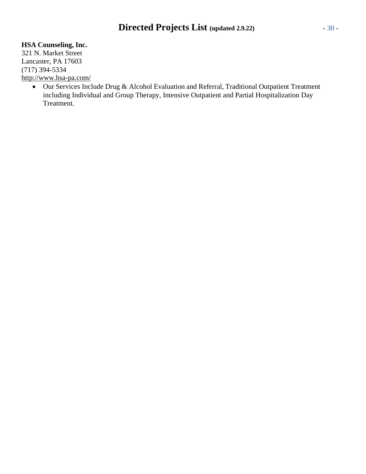### **HSA Counseling, Inc.**

321 N. Market Street Lancaster, PA 17603 (717) 394-5334 <http://www.hsa-pa.com/>

• Our Services Include Drug & Alcohol Evaluation and Referral, Traditional Outpatient Treatment including Individual and Group Therapy, Intensive Outpatient and Partial Hospitalization Day Treatment.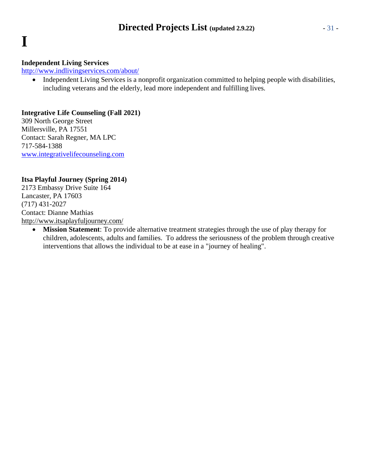# **I**

### **Independent Living Services**

<http://www.indlivingservices.com/about/>

• Independent Living Services is a nonprofit organization committed to helping people with disabilities, including veterans and the elderly, lead more independent and fulfilling lives.

### **Integrative Life Counseling (Fall 2021)**

309 North George Street Millersville, PA 17551 Contact: Sarah Regner, MA LPC 717-584-1388 [www.integrativelifecounseling.com](http://www.integrativelifecounseling.com/)

### **Itsa Playful Journey (Spring 2014)**

2173 Embassy Drive Suite 164 Lancaster, PA 17603 (717) 431-2027 Contact: Dianne Mathias <http://www.itsaplayfuljourney.com/>

> • **Mission Statement**: To provide alternative treatment strategies through the use of play therapy for children, adolescents, adults and families. To address the seriousness of the problem through creative interventions that allows the individual to be at ease in a "journey of healing".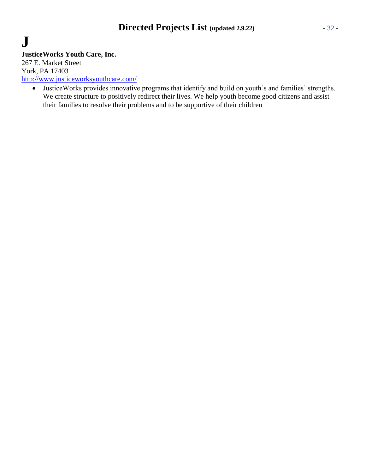# **J**

**JusticeWorks Youth Care, Inc.**

267 E. Market Street York, PA 17403 <http://www.justiceworksyouthcare.com/>

• JusticeWorks provides innovative programs that identify and build on youth's and families' strengths. We create structure to positively redirect their lives. We help youth become good citizens and assist their families to resolve their problems and to be supportive of their children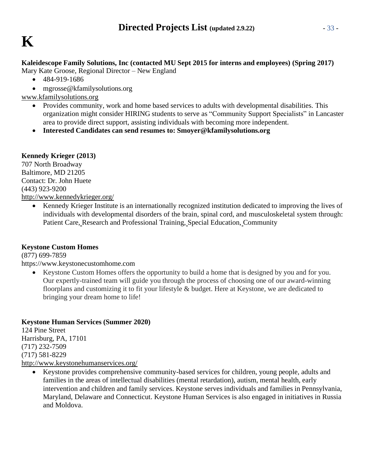### **Kaleidescope Family Solutions, Inc (contacted MU Sept 2015 for interns and employees) (Spring 2017)**

Mary Kate Groose, Regional Director – New England

- 484-919-1686
- [mgrosse@kfamilysolutions.org](mailto:mgrosse@kfamilysolutions.org)

[www.kfamilysolutions.org](http://www.kfamilysolutions.org/)

- Provides community, work and home based services to adults with developmental disabilities. This organization might consider HIRING students to serve as "Community Support Specialists" in Lancaster area to provide direct support, assisting individuals with becoming more independent.
- **Interested Candidates can send resumes to: [Smoyer@kfamilysolutions.org](mailto:Smoyer@kfamilysolutions.org)**

### **Kennedy Krieger (2013)**

707 North Broadway Baltimore, MD 21205 Contact: Dr. John Huete (443) 923-9200 <http://www.kennedykrieger.org/>

> • Kennedy Krieger Institute is an internationally recognized institution dedicated to improving the lives of individuals with developmental disorders of the brain, spinal cord, and musculoskeletal system through: Patient Care, Research and Professional Training, Special Education, Community

### **Keystone Custom Homes**

(877) 699-7859

https:/[/www.keystonecustomhome.com](http://www.keystonecustomhome.com/)

• Keystone Custom Homes offers the opportunity to build a home that is designed by you and for you. Our expertly-trained team will guide you through the process of choosing one of our award-winning floorplans and customizing it to fit your lifestyle & budget. Here at Keystone, we are dedicated to bringing your dream home to life!

### **Keystone Human Services (Summer 2020)**

124 Pine Street Harrisburg, PA, 17101 (717) 232-7509 (717) 581-8229 <http://www.keystonehumanservices.org/>

• Keystone provides comprehensive community-based services for children, young people, adults and families in the areas of intellectual disabilities (mental retardation), autism, mental health, early intervention and children and family services. Keystone serves individuals and families in Pennsylvania, Maryland, Delaware and Connecticut. Keystone Human Services is also engaged in initiatives in Russia and Moldova.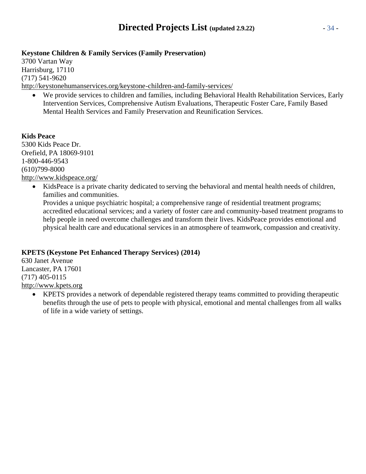### **Keystone Children & Family Services (Family Preservation)**

3700 Vartan Way Harrisburg, 17110 (717) 541-9620 <http://keystonehumanservices.org/keystone-children-and-family-services/>

• We provide services to children and families, including Behavioral Health Rehabilitation Services, Early Intervention Services, Comprehensive Autism Evaluations, Therapeutic Foster Care, Family Based Mental Health Services and Family Preservation and Reunification Services.

### **Kids Peace**

5300 Kids Peace Dr. Orefield, PA 18069-9101 1-800-446-9543 (610)799-8000 <http://www.kidspeace.org/>

> • KidsPeace is a private charity dedicated to serving the behavioral and mental health needs of children, families and communities.

Provides a unique psychiatric hospital; a comprehensive range of residential treatment programs; accredited educational services; and a variety of foster care and community-based treatment programs to help people in need overcome challenges and transform their lives. KidsPeace provides emotional and physical health care and educational services in an atmosphere of teamwork, compassion and creativity.

### **KPETS (Keystone Pet Enhanced Therapy Services) (2014)**

630 Janet Avenue Lancaster, PA 17601 (717) 405-0115 [http://www.kpets.org](http://www.kpets.org/)

• KPETS provides a network of dependable registered therapy teams committed to providing therapeutic benefits through the use of pets to people with physical, emotional and mental challenges from all walks of life in a wide variety of settings.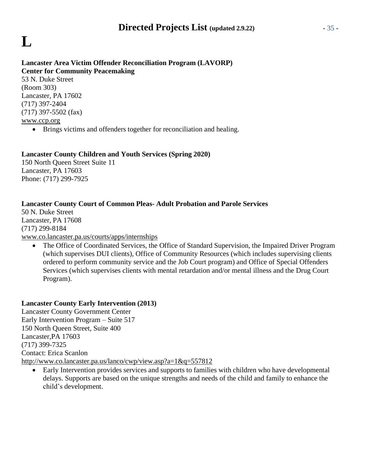# **L**

## **Lancaster Area Victim Offender Reconciliation Program (LAVORP) Center for Community Peacemaking**

53 N. Duke Street (Room 303) Lancaster, PA 17602 (717) 397-2404 (717) 397-5502 (fax) [www.ccp.org](http://www.ccp.org/)

• Brings victims and offenders together for reconciliation and healing.

### **Lancaster County Children and Youth Services (Spring 2020)**

150 North Queen Street Suite 11 Lancaster, PA 17603 Phone: (717) 299-7925

### **Lancaster County Court of Common Pleas- Adult Probation and Parole Services**

50 N. Duke Street Lancaster, PA 17608 (717) 299-8184 [www.co.lancaster.pa.us/courts/apps/internships](http://www.co.lancaster.pa.us/courts/apps/internships)

The Office of Coordinated Services, the Office of Standard Supervision, the Impaired Driver Program (which supervises DUI clients), Office of Community Resources (which includes supervising clients ordered to perform community service and the Job Court program) and Office of Special Offenders Services (which supervises clients with mental retardation and/or mental illness and the Drug Court Program).

### **Lancaster County Early Intervention (2013)**

Lancaster County Government Center Early Intervention Program – Suite 517 150 North Queen Street, Suite 400 Lancaster,PA 17603 (717) 399-7325 Contact: Erica Scanlon <http://www.co.lancaster.pa.us/lanco/cwp/view.asp?a=1&q=557812>

• Early Intervention provides services and supports to families with children who have developmental delays. Supports are based on the unique strengths and needs of the child and family to enhance the child's development.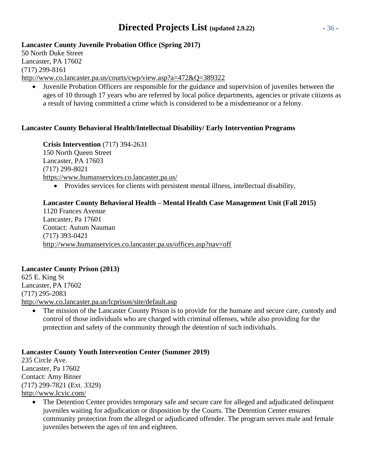## **Directed Projects List (updated 2.9.22)** - 36 -

### **Lancaster County Juvenile Probation Office (Spring 2017)**

50 North Duke Street Lancaster, PA 17602 (717) 299-8161 <http://www.co.lancaster.pa.us/courts/cwp/view.asp?a=472&Q=389322>

• Juvenile Probation Officers are responsible for the guidance and supervision of juveniles between the ages of 10 through 17 years who are referred by local police departments, agencies or private citizens as a result of having committed a crime which is considered to be a misdemeanor or a felony.

### **Lancaster County Behavioral Health/Intellectual Disability/ Early Intervention Programs**

**Crisis Intervention** (717) 394-2631 150 North Queen Street Lancaster, PA 17603 (717) 299-8021 <https://www.humanservices.co.lancaster.pa.us/>

• Provides services for clients with persistent mental illness, intellectual disability,

### **Lancaster County Behavioral Health – Mental Health Case Management Unit (Fall 2015)**

1120 Frances Avenue Lancaster, Pa 17601 Contact: Autum Nauman (717) 393-0421 <http://www.humanservices.co.lancaster.pa.us/offices.asp?nav=off>

### **Lancaster County Prison (2013)**

625 E. King St Lancaster, PA 17602 (717) 295-2083 <http://www.co.lancaster.pa.us/lcprison/site/default.asp>

The mission of the Lancaster County Prison is to provide for the humane and secure care, custody and control of those individuals who are charged with criminal offenses, while also providing for the protection and safety of the community through the detention of such individuals.

### **Lancaster County Youth Intervention Center (Summer 2019)**

235 Circle Ave. Lancaster, Pa 17602 Contact: Amy Bitner (717) 299-7821 (Ext. 3329) <http://www.lcyic.com/>

> • The Detention Center provides temporary safe and secure care for alleged and adjudicated delinquent juveniles waiting for adjudication or disposition by the Courts. The Detention Center ensures community protection from the alleged or adjudicated offender. The program serves male and female juveniles between the ages of ten and eighteen.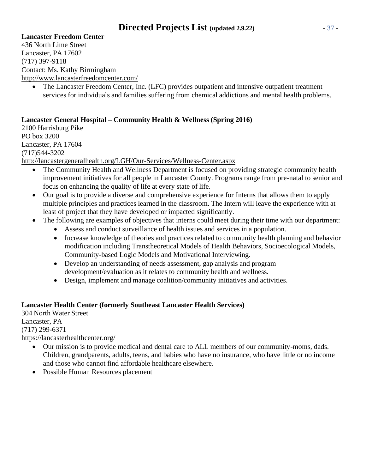## **Directed Projects List (updated 2.9.22)** - 37 -

#### **Lancaster Freedom Center**

436 North Lime Street Lancaster, PA 17602 (717) 397-9118 Contact: Ms. Kathy Birmingham <http://www.lancasterfreedomcenter.com/>

• The Lancaster Freedom Center, Inc. (LFC) provides outpatient and intensive outpatient treatment services for individuals and families suffering from chemical addictions and mental health problems.

#### **Lancaster General Hospital – Community Health & Wellness (Spring 2016)**

2100 Harrisburg Pike PO box 3200 Lancaster, PA 17604 (717)544-3202 <http://lancastergeneralhealth.org/LGH/Our-Services/Wellness-Center.aspx>

- The Community Health and Wellness Department is focused on providing strategic community health improvement initiatives for all people in Lancaster County. Programs range from pre-natal to senior and focus on enhancing the quality of life at every state of life.
- Our goal is to provide a diverse and comprehensive experience for Interns that allows them to apply multiple principles and practices learned in the classroom. The Intern will leave the experience with at least of project that they have developed or impacted significantly.
- The following are examples of objectives that interns could meet during their time with our department:
	- Assess and conduct surveillance of health issues and services in a population.
	- Increase knowledge of theories and practices related to community health planning and behavior modification including Transtheoretical Models of Health Behaviors, Socioecological Models, Community-based Logic Models and Motivational Interviewing.
	- Develop an understanding of needs assessment, gap analysis and program development/evaluation as it relates to community health and wellness.
	- Design, implement and manage coalition/community initiatives and activities.

#### **Lancaster Health Center (formerly Southeast Lancaster Health Services)**

304 North Water Street Lancaster, PA (717) 299-6371 https://lancasterhealthcenter.org/

- Our mission is to provide medical and dental care to ALL members of our community-moms, dads. Children, grandparents, adults, teens, and babies who have no insurance, who have little or no income and those who cannot find affordable healthcare elsewhere.
- Possible Human Resources placement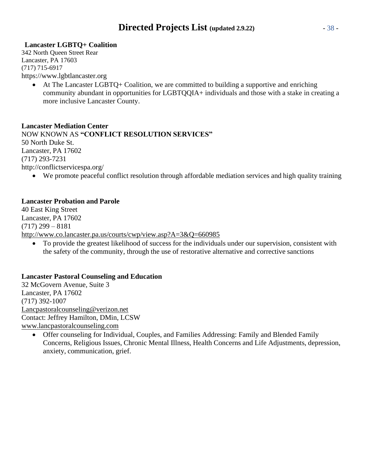#### **Lancaster LGBTQ+ Coalition**

[342 North Queen Street Rear](https://goo.gl/maps/epoXW6vYowasuVHz8) [Lancaster, PA](https://goo.gl/maps/epoXW6vYowasuVHz8) 17603 (717) 715-6917 https:/[/www.lgbtlancaster.org](http://www.lgbtlancaster.org/)

• At The Lancaster LGBTQ+ Coalition, we are committed to building a supportive and enriching community abundant in opportunities for LGBTQQIA+ individuals and those with a stake in creating a more inclusive Lancaster County.

#### **Lancaster Mediation Center**

NOW KNOWN AS **"CONFLICT RESOLUTION SERVICES"** 50 North Duke St. Lancaster, PA 17602 (717) 293-7231 <http://conflictservicespa.org/>

• We promote peaceful conflict resolution through affordable mediation services and high quality training

#### **Lancaster Probation and Parole**

40 East King Street Lancaster, PA 17602  $(717)$  299 – 8181 <http://www.co.lancaster.pa.us/courts/cwp/view.asp?A=3&Q=660985>

• To provide the greatest likelihood of success for the individuals under our supervision, consistent with the safety of the community, through the use of restorative alternative and corrective sanctions

#### **Lancaster Pastoral Counseling and Education**

32 McGovern Avenue, Suite 3 Lancaster, PA 17602 (717) 392-1007 [Lancpastoralcounseling@verizon.net](mailto:Lancpastoralcounseling@verizon.net) Contact: Jeffrey Hamilton, DMin, LCSW [www.lancpastoralcounseling.com](http://www.lancpastoralcounseling.com/)

• Offer counseling for Individual, Couples, and Families Addressing: Family and Blended Family Concerns, Religious Issues, Chronic Mental Illness, Health Concerns and Life Adjustments, depression, anxiety, communication, grief.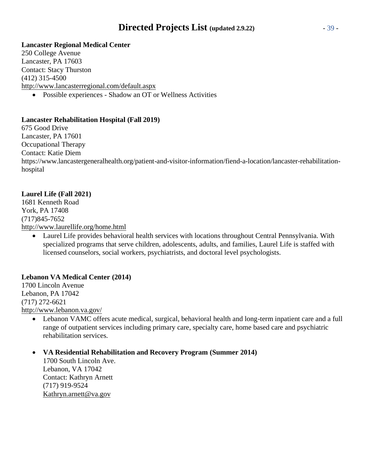## **Directed Projects List (updated 2.9.22)** - 39 -

#### **Lancaster Regional Medical Center**

250 College Avenue Lancaster, PA 17603 Contact: Stacy Thurston (412) 315-4500 <http://www.lancasterregional.com/default.aspx>

• Possible experiences - Shadow an OT or Wellness Activities

#### **Lancaster Rehabilitation Hospital (Fall 2019)**

675 Good Drive Lancaster, PA 17601 Occupational Therapy Contact: Katie Diem https:/[/www.lancastergeneralhealth.org/patient-and-visitor-information/fiend-a-location/lancaster-rehabilitation](http://www.lancastergeneralhealth.org/patient-and-visitor-information/fiend-a-location/lancaster-rehabilitation-)hospital

#### **Laurel Life (Fall 2021)**

1681 Kenneth Road York, PA 17408 (717)845-7652 <http://www.laurellife.org/home.html>

• Laurel Life provides behavioral health services with locations throughout Central Pennsylvania. With specialized programs that serve children, adolescents, adults, and families, Laurel Life is staffed with licensed counselors, social workers, psychiatrists, and doctoral level psychologists.

#### **Lebanon VA Medical Center (2014)**

1700 Lincoln Avenue Lebanon, PA 17042 (717) 272-6621 <http://www.lebanon.va.gov/>

• Lebanon VAMC offers acute medical, surgical, behavioral health and long-term inpatient care and a full range of outpatient services including primary care, specialty care, home based care and psychiatric rehabilitation services.

#### • **VA Residential Rehabilitation and Recovery Program (Summer 2014)**

1700 South Lincoln Ave. Lebanon, VA 17042 Contact: Kathryn Arnett (717) 919-9524 [Kathryn.arnett@va.gov](mailto:Kathryn.arnett@va.gov)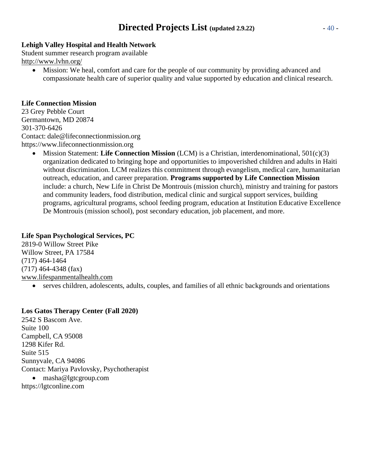## **Directed Projects List (updated 2.9.22)** - 40 -

#### **Lehigh Valley Hospital and Health Network**

Student summer research program available <http://www.lvhn.org/>

• Mission: We heal, comfort and care for the people of our community by providing advanced and compassionate health care of superior quality and value supported by education and clinical research.

#### **Life Connection Mission**

23 Grey Pebble Court Germantown, MD 20874 301-370-6426 Contact: [dale@lifeconnectionmission.org](mailto:dale@lifeconnectionmission.org) https:/[/www.lifeconnectionmission.org](http://www.lifeconnectionmission.org/)

> • Mission Statement: **Life Connection Mission** (LCM) is a Christian, interdenominational, 501(c)(3) organization dedicated to bringing hope and opportunities to impoverished children and adults in Haiti without discrimination. LCM realizes this commitment through evangelism, medical care, humanitarian outreach, education, and career preparation. **Programs supported by Life Connection Mission** include: a church, New Life in Christ De Montrouis (mission church), ministry and training for pastors and community leaders, food distribution, medical clinic and surgical support services, building programs, agricultural programs, school feeding program, education at Institution Educative Excellence De Montrouis (mission school), post secondary education, job placement, and more.

#### **Life Span Psychological Services, PC**

2819-0 Willow Street Pike Willow Street, PA 17584 (717) 464-1464 (717) 464-4348 (fax) [www.lifespanmentalhealth.com](http://www.lifespanmentalhealth.com/)

• serves children, adolescents, adults, couples, and families of all ethnic backgrounds and orientations

#### **Los Gatos Therapy Center (Fall 2020)**

2542 S Bascom Ave. Suite 100 Campbell, CA 95008 1298 Kifer Rd. Suite 515 Sunnyvale, CA 94086 Contact: Mariya Pavlovsky, Psychotherapist • [masha@lgtcgroup.com](mailto:masha@lgtcgroup.com) https://lgtconline.com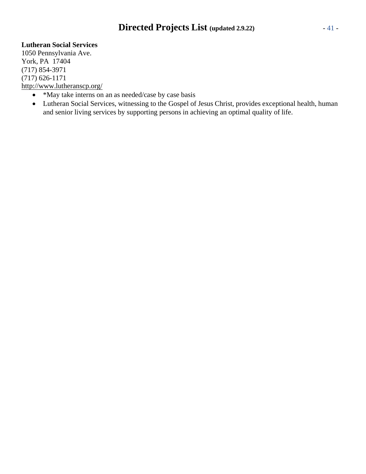## **Directed Projects List (updated 2.9.22)** - 41 -

#### **Lutheran Social Services**

1050 Pennsylvania Ave. York, PA 17404 (717) 854-3971 (717) 626-1171 <http://www.lutheranscp.org/>

- \*May take interns on an as needed/case by case basis
- Lutheran Social Services, witnessing to the Gospel of Jesus Christ, provides exceptional health, human and senior living services by supporting persons in achieving an optimal quality of life.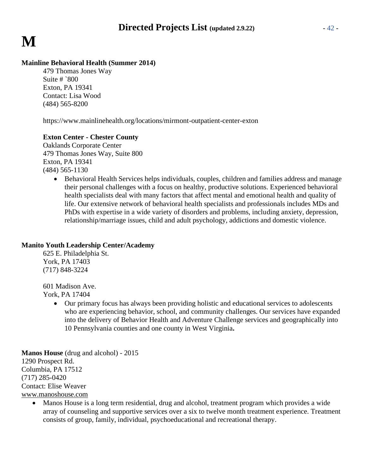#### **Mainline Behavioral Health (Summer 2014)**

479 Thomas Jones Way Suite  $\#$  `800 Exton, PA 19341 Contact: Lisa Wood (484) 565-8200

https:/[/www.mainlinehealth.org/locations/mirmont-outpatient-center-exton](http://www.mainlinehealth.org/locations/mirmont-outpatient-center-exton)

#### **Exton Center - Chester County**

Oaklands Corporate Center 479 Thomas Jones Way, Suite 800 Exton, PA 19341 (484) 565-1130

> • Behavioral Health Services helps individuals, couples, children and families address and manage their personal challenges with a focus on healthy, productive solutions. Experienced behavioral health specialists deal with many factors that affect mental and emotional health and quality of life. Our extensive network of behavioral health specialists and professionals includes MDs and PhDs with expertise in a wide variety of disorders and problems, including anxiety, depression, relationship/marriage issues, child and adult psychology, addictions and domestic violence.

#### **Manito Youth Leadership Center/Academy**

625 E. Philadelphia St. York, PA 17403 (717) 848-3224

601 Madison Ave. York, PA 17404

> • Our primary focus has always been providing holistic and educational services to adolescents who are experiencing behavior, school, and community challenges. Our services have expanded into the delivery of Behavior Health and Adventure Challenge services and geographically into 10 Pennsylvania counties and one county in West Virginia**.**

**Manos House** (drug and alcohol) - 2015 1290 Prospect Rd. Columbia, PA 17512 (717) 285-0420 Contact: Elise Weaver [www.manoshouse.com](http://www.manoshouse.com/)

• Manos House is a long term residential, drug and alcohol, treatment program which provides a wide array of counseling and supportive services over a six to twelve month treatment experience. Treatment consists of group, family, individual, psychoeducational and recreational therapy.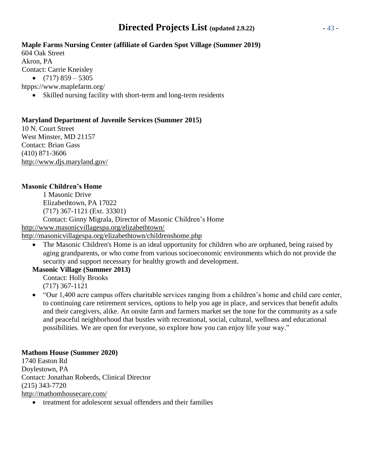## **Directed Projects List (updated 2.9.22)** - 43 -

#### **Maple Farms Nursing Center (affiliate of Garden Spot Village (Summer 2019)**

604 Oak Street Akron, PA Contact: Carrie Kneisley •  $(717) 859 - 5305$ htpps:/[/www.maplefarm.org/](http://www.maplefarm.org/)

• Skilled nursing facility with short-term and long-term residents

#### **Maryland Department of Juvenile Services (Summer 2015)**

10 N. Court Street West Minster, MD 21157 Contact: Brian Gass (410) 871-3606 <http://www.djs.maryland.gov/>

#### **Masonic Children's Home**

1 Masonic Drive Elizabethtown, PA 17022 (717) 367-1121 (Ext. 33301) Contact: Ginny Migrala, Director of Masonic Children's Home <http://www.masonicvillagespa.org/elizabethtown/>

<http://masonicvillagespa.org/elizabethtown/childrenshome.php>

• The Masonic Children's Home is an ideal opportunity for children who are orphaned, being raised by aging grandparents, or who come from various socioeconomic environments which do not provide the security and support necessary for healthy growth and development.

#### **Masonic Village (Summer 2013)**

Contact: Holly Brooks (717) 367-1121

• "Our 1,400 acre campus offers charitable services ranging from a children's home and child care center, to continuing care retirement services, options to help you age in place, and services that benefit adults and their caregivers, alike. An onsite farm and farmers market set the tone for the community as a safe and peaceful neighborhood that bustles with recreational, social, cultural, wellness and educational possibilities. We are open for everyone, so explore how you can enjoy life your way."

#### **Mathom House (Summer 2020)**

1740 Easton Rd Doylestown, PA Contact: Jonathan Roberds, Clinical Director (215) 343-7720 <http://mathomhousecare.com/>

• treatment for adolescent sexual offenders and their families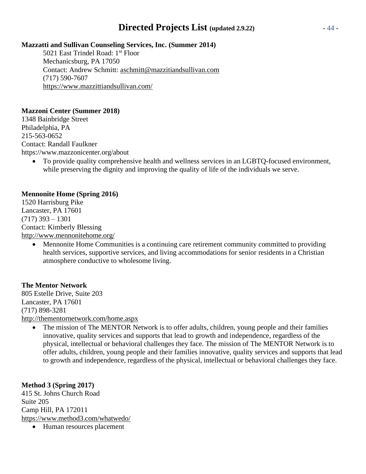## **Directed Projects List (updated 2.9.22)** - 44 -

#### **Mazzatti and Sullivan Counseling Services, Inc. (Summer 2014)**

5021 East Trindel Road: 1<sup>st</sup> Floor Mechanicsburg, PA 17050 Contact: Andrew Schmitt: [aschmitt@mazzitiandsullivan.com](mailto:aschmitt@mazzitiandsullivan.com) (717) 590-7607 <https://www.mazzittiandsullivan.com/>

#### **Mazzoni Center (Summer 2018)**

1348 Bainbridge Street Philadelphia, PA 215-563-0652 Contact: Randall Faulkner https:/[/www.mazzonicenter.org/about](http://www.mazzonicenter.org/about)

• To provide quality comprehensive health and wellness services in an LGBTQ-focused environment, while preserving the dignity and improving the quality of life of the individuals we serve.

#### **Mennonite Home (Spring 2016)**

1520 Harrisburg Pike Lancaster, PA 17601 (717) 393 – 1301 Contact: Kimberly Blessing <http://www.mennonitehome.org/>

• Mennonite Home Communities is a continuing care retirement community committed to providing health services, supportive services, and living accommodations for senior residents in a Christian atmosphere conductive to wholesome living.

#### **The Mentor Network**

805 Estelle Drive, Suite 203 Lancaster, PA 17601 (717) 898-3281 <http://thementornetwork.com/home.aspx>

• The mission of The MENTOR Network is to offer adults, children, young people and their families innovative, quality services and supports that lead to growth and independence, regardless of the physical, intellectual or behavioral challenges they face. The mission of The MENTOR Network is to offer adults, children, young people and their families innovative, quality services and supports that lead to growth and independence, regardless of the physical, intellectual or behavioral challenges they face.

#### **Method 3 (Spring 2017)**

415 St. Johns Church Road Suite 205 Camp Hill, PA 172011 <https://www.method3.com/whatwedo/>

• Human resources placement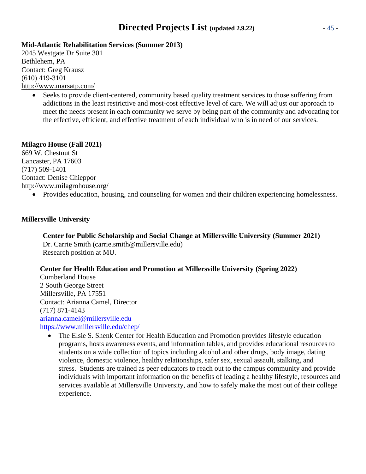## **Directed Projects List (updated 2.9.22)** - 45 -

#### **Mid-Atlantic Rehabilitation Services (Summer 2013)**

2045 Westgate Dr Suite 301 Bethlehem, PA Contact: Greg Krausz (610) 419-3101 <http://www.marsatp.com/>

> Seeks to provide client-centered, community based quality treatment services to those suffering from addictions in the least restrictive and most-cost effective level of care. We will adjust our approach to meet the needs present in each community we serve by being part of the community and advocating for the effective, efficient, and effective treatment of each individual who is in need of our services.

#### **Milagro House (Fall 2021)**

669 W. Chestnut St Lancaster, PA 17603 (717) 509-1401 Contact: Denise Chieppor <http://www.milagrohouse.org/>

• Provides education, housing, and counseling for women and their children experiencing homelessness.

#### **Millersville University**

**Center for Public Scholarship and Social Change at Millersville University (Summer 2021)** Dr. Carrie Smith (carrie.smith@millersville.edu) Research position at MU.

#### **Center for Health Education and Promotion at Millersville University (Spring 2022)**

Cumberland House 2 South George Street Millersville, PA 17551 Contact: Arianna Camel, Director (717) 871-4143 [arianna.camel@millersville.edu](mailto:arianna.camel@millersville.edu) <https://www.millersville.edu/chep/>

• The Elsie S. Shenk Center for Health Education and Promotion provides lifestyle education programs, hosts awareness events, and information tables, and provides educational resources to students on a wide collection of topics including alcohol and other drugs, body image, dating violence, domestic violence, healthy relationships, safer sex, sexual assault, stalking, and stress. Students are trained as peer educators to reach out to the campus community and provide individuals with important information on the benefits of leading a healthy lifestyle, resources and services available at Millersville University, and how to safely make the most out of their college experience.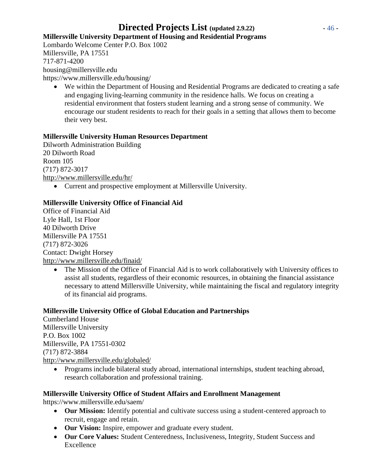## **Directed Projects List (updated 2.9.22)** - 46 -

**Millersville University Department of Housing and Residential Programs**

Lombardo Welcome Center P.O. Box 1002 Millersville, PA 17551 717-871-4200 [housing@millersville.edu](mailto:housing@millersville.edu) https:/[/www.millersville.edu/housing/](http://www.millersville.edu/housing/)

• We within the Department of Housing and Residential Programs are dedicated to creating a safe and engaging living-learning community in the residence halls. We focus on creating a residential environment that fosters student learning and a strong sense of community. We encourage our student residents to reach for their goals in a setting that allows them to become their very best.

#### **Millersville University Human Resources Department**

Dilworth Administration Building 20 Dilworth Road Room 105 (717) 872-3017 <http://www.millersville.edu/hr/>

• Current and prospective employment at Millersville University.

#### **Millersville University Office of Financial Aid**

Office of Financial Aid Lyle Hall, 1st Floor 40 Dilworth Drive Millersville PA 17551 (717) 872-3026 Contact: Dwight Horsey <http://www.millersville.edu/finaid/>

• The Mission of the Office of Financial Aid is to work collaboratively with University offices to assist all students, regardless of their economic resources, in obtaining the financial assistance necessary to attend Millersville University, while maintaining the fiscal and regulatory integrity of its financial aid programs.

#### **Millersville University Office of Global Education and Partnerships**

Cumberland House Millersville University P.O. Box 1002 Millersville, PA 17551-0302 (717) 872-3884 <http://www.millersville.edu/globaled/>

• Programs include bilateral study abroad, international internships, student teaching abroad, research collaboration and professional training.

#### **Millersville University Office of Student Affairs and Enrollment Management**

https:/[/www.millersville.edu/saem/](http://www.millersville.edu/saem/)

- **Our Mission:** Identify potential and cultivate success using a student-centered approach to recruit, engage and retain.
- **Our Vision:** Inspire, empower and graduate every student.
- **Our Core Values:** Student Centeredness, Inclusiveness, Integrity, Student Success and Excellence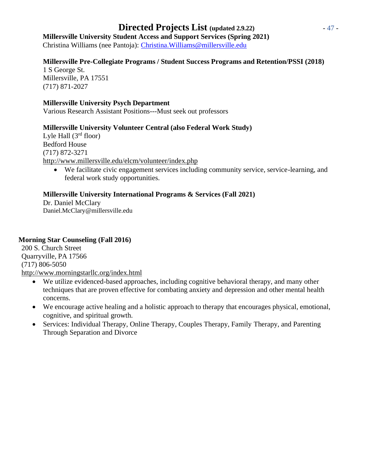## **Directed Projects List (updated 2.9.22)** - 47 -

## **Millersville University Student Access and Support Services (Spring 2021)**

Christina Williams (nee Pantoja): [Christina.Williams@millersville.edu](mailto:Christina.Williams@millersville.edu)

#### **Millersville Pre-Collegiate Programs / Student Success Programs and Retention/PSSI (2018)**

1 S George St. Millersville, PA 17551 (717) 871-2027

#### **Millersville University Psych Department**

Various Research Assistant Positions---Must seek out professors

#### **Millersville University Volunteer Central (also Federal Work Study)**

Lyle Hall  $(3<sup>rd</sup>$  floor) Bedford House (717) 872-3271 <http://www.millersville.edu/elcm/volunteer/index.php>

• We facilitate civic engagement services including community service, service-learning, and federal work study opportunities.

#### **Millersville University International Programs & Services (Fall 2021)**

Dr. Daniel McClary Daniel.McClary@millersville.edu

#### **Morning Star Counseling (Fall 2016)**

200 S. Church Street Quarryville, PA 17566 (717) 806-5050 <http://www.morningstarllc.org/index.html>

- We utilize evidenced-based approaches, including cognitive behavioral therapy, and many other techniques that are proven effective for combating anxiety and depression and other mental health concerns.
- We encourage active healing and a holistic approach to therapy that encourages physical, emotional, cognitive, and spiritual growth.
- Services: Individual Therapy, Online Therapy, Couples Therapy, Family Therapy, and Parenting Through Separation and Divorce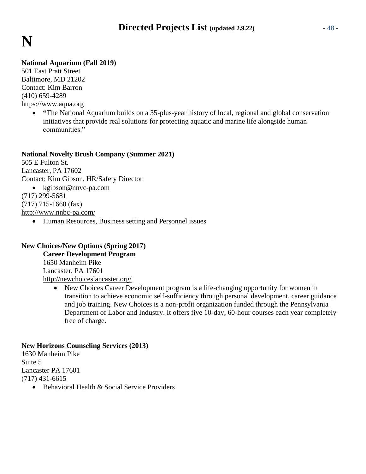

#### **National Aquarium (Fall 2019)**

501 East Pratt Street Baltimore, MD 21202 Contact: Kim Barron (410) 659-4289 https:/[/www.aqua.org](http://www.aqua.org/)

• **"The National Aquarium builds on a 35-plus-year history of local, regional and global conservation** initiatives that provide real solutions for protecting aquatic and marine life alongside human communities."

#### **National Novelty Brush Company (Summer 2021)**

505 E Fulton St. Lancaster, PA 17602 Contact: Kim Gibson, HR/Safety Director • [kgibson@nnvc-pa.com](mailto:kgibson@nnvc-pa.com) (717) 299-5681 (717) 715-1660 (fax) <http://www.nnbc-pa.com/>

• Human Resources, Business setting and Personnel issues

#### **New Choices/New Options (Spring 2017)**

**Career Development Program** 1650 Manheim Pike Lancaster, PA 17601 <http://newchoiceslancaster.org/>

> • New Choices Career Development program is a life-changing opportunity for women in transition to achieve economic self-sufficiency through personal development, career guidance and job training. New Choices is a non-profit organization funded through the Pennsylvania Department of Labor and Industry. It offers five 10-day, 60-hour courses each year completely free of charge.

#### **New Horizons Counseling Services (2013)**

1630 Manheim Pike Suite 5 Lancaster PA 17601 (717) 431-6615

• Behavioral Health & Social Service Providers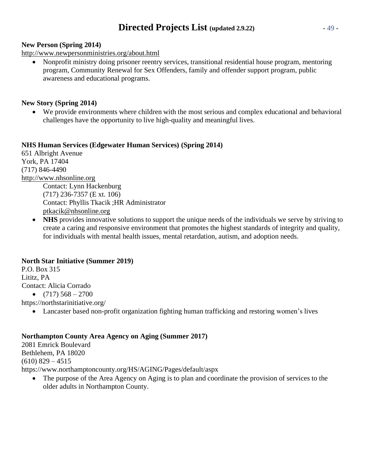## **Directed Projects List (updated 2.9.22)** - 49 -

#### **New Person (Spring 2014)**

<http://www.newpersonministries.org/about.html>

• Nonprofit ministry doing prisoner reentry services, transitional residential house program, mentoring program, Community Renewal for Sex Offenders, family and offender support program, public awareness and educational programs.

#### **New Story (Spring 2014)**

• We provide environments where children with the most serious and complex educational and behavioral challenges have the opportunity to live high-quality and meaningful lives.

#### **NHS Human Services (Edgewater Human Services) (Spring 2014)**

651 Albright Avenue York, PA 17404 (717) 846-4490 [http://www.nhsonline.org](http://www.nhsonline.org/) Contact: Lynn Hackenburg (717) 236-7357 (E xt. 106) Contact: Phyllis Tkacik ;HR Administrator [ptkacik@nhsonline.org](mailto:ptkacik@nhsonline.org)

• **NHS** provides innovative solutions to support the unique needs of the individuals we serve by striving to create a caring and responsive environment that promotes the highest standards of integrity and quality, for individuals with mental health issues, mental retardation, autism, and adoption needs.

#### **North Star Initiative (Summer 2019)**

P.O. Box 315 Lititz, PA Contact: Alicia Corrado

•  $(717)$  568 – 2700

https://northstarinitiative.org/

• Lancaster based non-profit organization fighting human trafficking and restoring women's lives

#### **Northampton County Area Agency on Aging (Summer 2017)**

2081 Emrick Boulevard Bethlehem, PA 18020  $(610)$  829 – 4515

https:/[/www.northamptoncounty.org/HS/AGING/Pages/default/aspx](http://www.northamptoncounty.org/HS/AGING/Pages/default/aspx)

The purpose of the Area Agency on Aging is to plan and coordinate the provision of services to the older adults in Northampton County.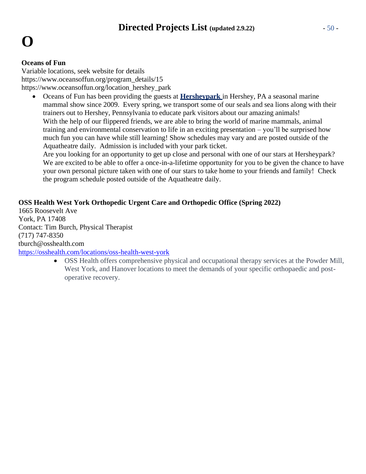#### **Oceans of Fun**

Variable locations, seek website for details https:/[/www.oceansoffun.org/program\\_details/15](http://www.oceansoffun.org/program_details/15) https:/[/www.oceansoffun.org/location\\_hershey\\_park](http://www.oceansoffun.org/location_hershey_park)

• Oceans of Fun has been providing the guests at **[Hersheypark](http://www.hersheypark.com/)** in Hershey, PA a seasonal marine mammal show since 2009. Every spring, we transport some of our seals and sea lions along with their trainers out to Hershey, Pennsylvania to educate park visitors about our amazing animals! With the help of our flippered friends, we are able to bring the world of marine mammals, animal training and environmental conservation to life in an exciting presentation – you'll be surprised how much fun you can have while still learning! Show schedules may vary and are posted outside of the Aquatheatre daily. Admission is included with your park ticket.

Are you looking for an opportunity to get up close and personal with one of our stars at Hersheypark? We are excited to be able to offer a once-in-a-lifetime opportunity for you to be given the chance to have your own personal picture taken with one of our stars to take home to your friends and family! Check the program schedule posted outside of the Aquatheatre daily.

#### **OSS Health West York Orthopedic Urgent Care and Orthopedic Office (Spring 2022)**

1665 Roosevelt Ave York, PA 17408 Contact: Tim Burch, Physical Therapist (717) 747-8350 tburch@osshealth.com

<https://osshealth.com/locations/oss-health-west-york>

• OSS Health offers comprehensive physical and occupational therapy services at the Powder Mill, West York, and Hanover locations to meet the demands of your specific orthopaedic and postoperative recovery.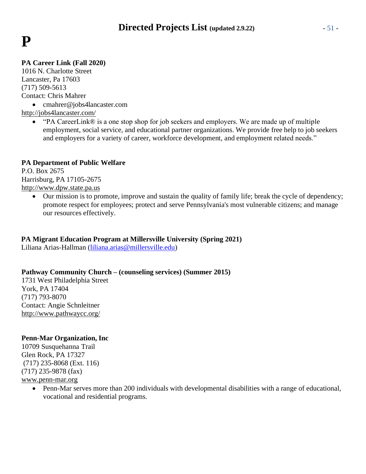## **P**

#### **PA Career Link (Fall 2020)**

1016 N. Charlotte Street Lancaster, Pa 17603 (717) 509-5613 Contact: Chris Mahrer

• [cmahrer@jobs4lancaster.com](mailto:cmahrer@jobs4lancaster.com)

<http://jobs4lancaster.com/>

• "PA CareerLink® is a one stop shop for job seekers and employers. We are made up of multiple employment, social service, and educational partner organizations. We provide free help to job seekers and employers for a variety of career, workforce development, and employment related needs."

#### **PA Department of Public Welfare**

P.O. Box 2675 Harrisburg, PA 17105-2675 [http://www.dpw.state.pa.us](http://www.dpw.state.pa.us/)

> • Our mission is to promote, improve and sustain the quality of family life; break the cycle of dependency; promote respect for employees; protect and serve Pennsylvania's most vulnerable citizens; and manage our resources effectively.

#### **PA Migrant Education Program at Millersville University (Spring 2021)**

Liliana Arias-Hallman [\(liliana.arias@millersville.edu\)](mailto:liliana.arias@millersville.edu)

#### **Pathway Community Church – (counseling services) (Summer 2015)**

1731 West Philadelphia Street York, PA 17404 (717) 793-8070 Contact: Angie Schnleitner <http://www.pathwaycc.org/>

#### **Penn-Mar Organization, Inc**

10709 Susquehanna Trail Glen Rock, PA 17327 (717) 235-8068 (Ext. 116) (717) 235-9878 (fax)

#### [www.penn-mar.org](http://www.penn-mar.org/)

• Penn-Mar serves more than 200 individuals with developmental disabilities with a range of educational, vocational and residential programs.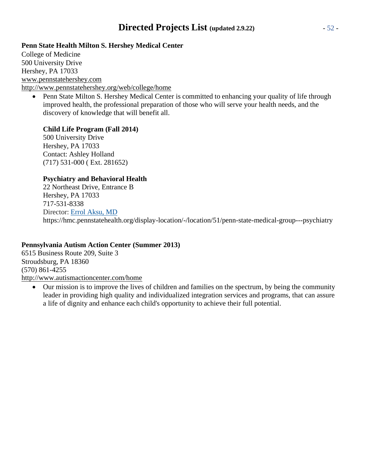## **Directed Projects List (updated 2.9.22)** - 52 -

#### **Penn State Health Milton S. Hershey Medical Center**

College of Medicine 500 University Drive Hershey, PA 17033 [www.pennstatehershey.com](http://www.pennstatehershey.com/) <http://www.pennstatehershey.org/web/college/home>

• Penn State Milton S. Hershey Medical Center is committed to enhancing your quality of life through improved health, the professional preparation of those who will serve your health needs, and the discovery of knowledge that will benefit all.

#### **Child Life Program (Fall 2014)**

500 University Drive Hershey, PA 17033 Contact: Ashley Holland (717) 531-000 ( Ext. 281652)

#### **Psychiatry and Behavioral Health**

22 Northeast Drive, Entrance B Hershey, PA 17033 717-531-8338 Director: [Errol Aksu,](http://hmc.pennstatehealth.org/display-provider/-/provider/123/errol-m-aksu-md) MD https://hmc.pennstatehealth.org/display-location/-/location/51/penn-state-medical-group---psychiatry

#### **Pennsylvania Autism Action Center (Summer 2013)**

6515 Business Route 209, Suite 3 Stroudsburg, PA 18360 (570) 861-4255 <http://www.autismactioncenter.com/home>

• Our mission is to improve the lives of children and families on the spectrum, by being the community leader in providing high quality and individualized integration services and programs, that can assure a life of dignity and enhance each child's opportunity to achieve their full potential.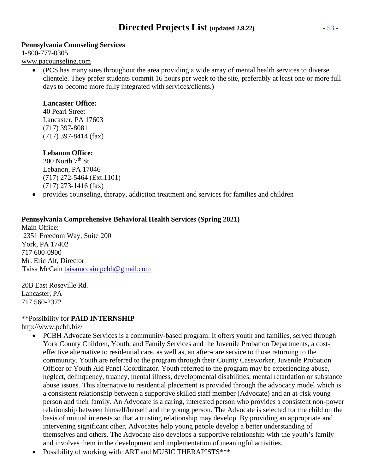#### **Pennsylvania Counseling Services**

1-800-777-0305 [www.pacounseling.com](http://www.pacounseling.com/)

• (PCS has many sites throughout the area providing a wide array of mental health services to diverse clientele. They prefer students commit 16 hours per week to the site, preferably at least one or more full days to become more fully integrated with services/clients.)

#### **Lancaster Office:**

40 Pearl Street Lancaster, PA 17603 (717) 397-8081 (717) 397-8414 (fax)

#### **Lebanon Office:**

 $200$  North  $7<sup>th</sup>$  St. Lebanon, PA 17046 (717) 272-5464 (Ext.1101) (717) 273-1416 (fax)

• provides counseling, therapy, addiction treatment and services for families and children

#### **Pennsylvania Comprehensive Behavioral Health Services (Spring 2021)**

Main Office: 2351 Freedom Way, Suite 200 York, PA 17402 717 600-0900 Mr. Eric Alt, Director Taisa McCain [taisamccain.pcbh@gmail.com](mailto:taisamccain.pcbh@gmail.com)

20B East Roseville Rd. Lancaster, PA 717 560-2372

#### \*\*Possibility for **PAID INTERNSHIP**

<http://www.pcbh.biz/>

- PCBH Advocate Services is a community-based program. It offers youth and families, served through York County Children, Youth, and Family Services and the Juvenile Probation Departments, a costeffective alternative to residential care, as well as, an after-care service to those returning to the community. Youth are referred to the program through their County Caseworker, Juvenile Probation Officer or Youth Aid Panel Coordinator. Youth referred to the program may be experiencing abuse, neglect, delinquency, truancy, mental illness, developmental disabilities, mental retardation or substance abuse issues. This alternative to residential placement is provided through the advocacy model which is a consistent relationship between a supportive skilled staff member (Advocate) and an at-risk young person and their family. An Advocate is a caring, interested person who provides a consistent non-power relationship between himself/herself and the young person. The Advocate is selected for the child on the basis of mutual interests so that a trusting relationship may develop. By providing an appropriate and intervening significant other, Advocates help young people develop a better understanding of themselves and others. The Advocate also develops a supportive relationship with the youth's family and involves them in the development and implementation of meaningful activities.
- Possibility of working with ART and MUSIC THERAPISTS\*\*\*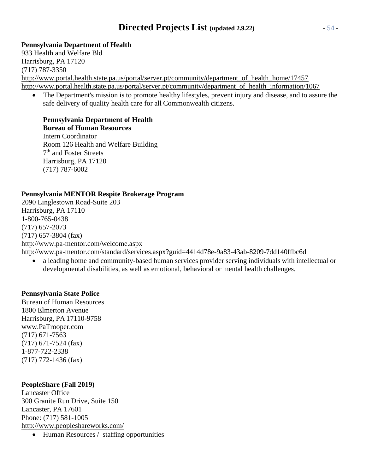## **Directed Projects List (updated 2.9.22)** - 54 -

#### **Pennsylvania Department of Health**

933 Health and Welfare Bld Harrisburg, PA 17120 (717) 787-3350 [http://www.portal.health.state.pa.us/portal/server.pt/community/department\\_of\\_health\\_home/17457](http://www.portal.health.state.pa.us/portal/server.pt/community/department_of_health_home/17457) [http://www.portal.health.state.pa.us/portal/server.pt/community/department\\_of\\_health\\_information/1067](http://www.portal.health.state.pa.us/portal/server.pt/community/department_of_health_information/1067)

• The Department's mission is to promote healthy lifestyles, prevent injury and disease, and to assure the safe delivery of quality health care for all Commonwealth citizens.

#### **Pennsylvania Department of Health Bureau of Human Resources**

Intern Coordinator Room 126 Health and Welfare Building 7<sup>th</sup> and Foster Streets Harrisburg, PA 17120 (717) 787-6002

#### **Pennsylvania MENTOR Respite Brokerage Program**

2090 Linglestown Road-Suite 203 Harrisburg, PA 17110 1-800-765-0438 (717) 657-2073 (717) 657-3804 (fax) <http://www.pa-mentor.com/welcome.aspx> <http://www.pa-mentor.com/standard/services.aspx?guid=4414d78e-9a83-43ab-8209-7dd140ffbc6d>

• a leading home and community-based human services provider serving individuals with intellectual or developmental disabilities, as well as emotional, behavioral or mental health challenges.

#### **Pennsylvania State Police**

Bureau of Human Resources 1800 Elmerton Avenue Harrisburg, PA 17110-9758 [www.PaTrooper.com](http://www.patrooper.com/) (717) 671-7563 (717) 671-7524 (fax) 1-877-722-2338 (717) 772-1436 (fax)

#### **PeopleShare (Fall 2019)**

Lancaster Office 300 Granite Run Drive, Suite 150 Lancaster, PA 17601 Phone: (717) 581-1005 <http://www.peopleshareworks.com/> • Human Resources / staffing opportunities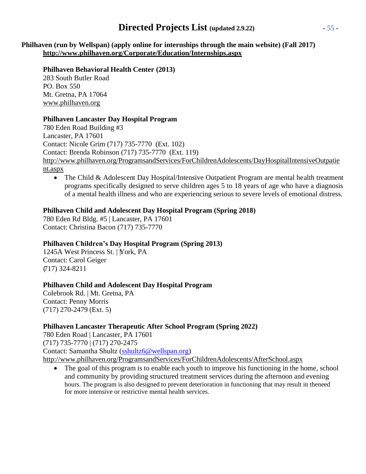## **Directed Projects List (updated 2.9.22)** - 55 -

**Philhaven (run by Wellspan) (apply online for internships through the main website) (Fall 2017) <http://www.philhaven.org/Corporate/Education/Internships.aspx>**

#### **Philhaven Behavioral Health Center (2013)**

283 South Butler Road PO. Box 550 Mt. Gretna, PA 17064 [www.philhaven.org](http://www.philhaven.org/)

#### **Philhaven Lancaster Day Hospital Program**

780 Eden Road Building #3 Lancaster, PA 17601 Contact: Nicole Grim (717) 735-7770 (Ext. 102) Contact: Brenda Robinson (717) 735-7770 (Ext. 119) [http://www.philhaven.org/ProgramsandServices/ForChildrenAdolescents/DayHospitalIntensiveOutpatie](http://www.philhaven.org/ProgramsandServices/ForChildrenAdolescents/DayHospitalIntensiveOutpatient.aspx) [nt.aspx](http://www.philhaven.org/ProgramsandServices/ForChildrenAdolescents/DayHospitalIntensiveOutpatient.aspx)

• The Child & Adolescent Day Hospital/Intensive Outpatient Program are mental health treatment programs specifically designed to serve children ages 5 to 18 years of age who have a diagnosis of a mental health illness and who are experiencing serious to severe levels of emotional distress.

#### **Philhaven Child and Adolescent Day Hospital Program (Spring 2018)**

780 Eden Rd Bldg. #5 | Lancaster, PA 17601 Contact: Christina Bacon (717) 735-7770

#### **Philhaven Children's Day Hospital Program (Spring 2013)**

1245A West Princess St. | York, PA Contact: Carol Geiger ( 717) 324-8211

#### **Philhaven Child and Adolescent Day Hospital Program**

Colebrook Rd. | Mt. Gretna, PA Contact: Penny Morris (717) 270-2479 (Ext. 5)

#### **Philhaven Lancaster Therapeutic After School Program (Spring 2022)**

780 Eden Road | Lancaster, PA 17601 (717) 735-7770 | (717) 270-2475 Contact: Samantha Shultz [\(sshultz6@wellspan.org\)](mailto:sshultz6@wellspan.org) <http://www.philhaven.org/ProgramsandServices/ForChildrenAdolescents/AfterSchool.aspx>

• The goal of this program is to enable each youth to improve his functioning in the home, school and community by providing structured treatment services during the afternoon and evening hours. The program is also designed to prevent deterioration in functioning that may result in theneed for more intensive or restrictive mental health services.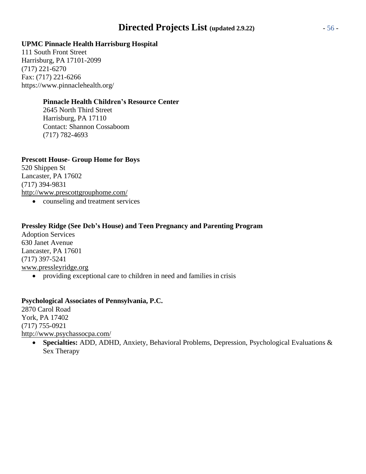## **Directed Projects List (updated 2.9.22)** - 56 -

#### **UPMC Pinnacle Health Harrisburg Hospital**

111 South Front Street Harrisburg, PA 17101-2099 (717) 221-6270 Fax: (717) 221-6266 https:/[/www.pinnaclehealth.org/](http://www.pinnaclehealth.org/)

#### **Pinnacle Health Children's Resource Center**

2645 North Third Street Harrisburg, PA 17110 Contact: Shannon Cossaboom (717) 782-4693

#### **Prescott House- Group Home for Boys**

520 Shippen St Lancaster, PA 17602 (717) 394-9831 <http://www.prescottgrouphome.com/>

• counseling and treatment services

#### **Pressley Ridge (See Deb's House) and Teen Pregnancy and Parenting Program**

Adoption Services 630 Janet Avenue Lancaster, PA 17601 (717) 397-5241 [www.pressleyridge.org](http://www.pressleyridge.org/)

• providing exceptional care to children in need and families in crisis

#### **Psychological Associates of Pennsylvania, P.C.**

2870 Carol Road York, PA 17402 (717) 755-0921 <http://www.psychassocpa.com/>

• **Specialties:** ADD, ADHD, Anxiety, Behavioral Problems, Depression, Psychological Evaluations & Sex Therapy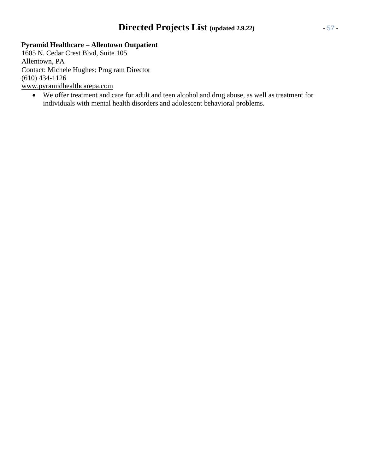## **Directed Projects List (updated 2.9.22)** - 57 -

#### **Pyramid Healthcare – Allentown Outpatient**

1605 N. Cedar Crest Blvd, Suite 105 Allentown, PA Contact: Michele Hughes; Prog ram Director (610) 434-1126 [www.pyramidhealthcarepa.com](http://www.pyramidhealthcarepa.com/)

• We offer treatment and care for adult and teen alcohol and drug abuse, as well as treatment for individuals with mental health disorders and adolescent behavioral problems.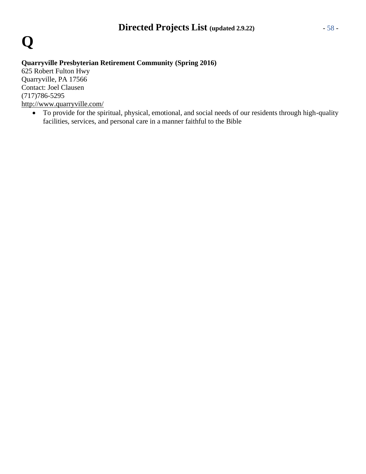

#### **Quarryville Presbyterian Retirement Community (Spring 2016)**

625 Robert Fulton Hwy Quarryville, PA 17566 Contact: Joel Clausen (717)786-5295 <http://www.quarryville.com/>

• To provide for the spiritual, physical, emotional, and social needs of our residents through high-quality facilities, services, and personal care in a manner faithful to the Bible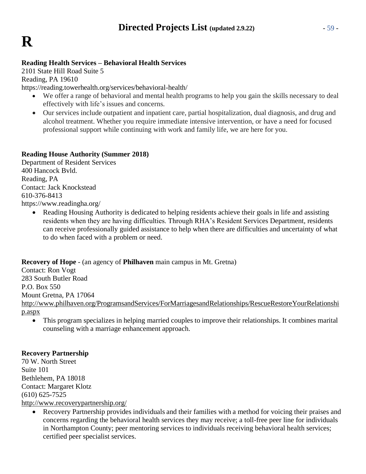#### **Reading Health Services – Behavioral Health Services**

2101 State Hill Road Suite 5 Reading, PA 19610

https://reading.towerhealth.org/services/behavioral-health/

- We offer a range of behavioral and mental health programs to help you gain the skills necessary to deal effectively with life's issues and concerns.
- Our services include outpatient and inpatient care, partial hospitalization, dual diagnosis, and drug and alcohol treatment. Whether you require immediate intensive intervention, or have a need for focused professional support while continuing with work and family life, we are here for you.

#### **Reading House Authority (Summer 2018)**

Department of Resident Services 400 Hancock Bvld. Reading, PA Contact: Jack Knockstead 610-376-8413 https:/[/www.readingha.org/](http://www.readingha.org/)

> • Reading Housing Authority is dedicated to helping residents achieve their goals in life and assisting residents when they are having difficulties. Through RHA's Resident Services Department, residents can receive professionally guided assistance to help when there are difficulties and uncertainty of what to do when faced with a problem or need.

#### **Recovery of Hope** - (an agency of **Philhaven** main campus in Mt. Gretna)

Contact: Ron Vogt 283 South Butler Road P.O. Box 550 Mount Gretna, PA 17064 [http://www.philhaven.org/ProgramsandServices/ForMarriagesandRelationships/RescueRestoreYourRelationshi](http://www.philhaven.org/ProgramsandServices/ForMarriagesandRelationships/RescueRestoreYourRelationship.aspx) [p.aspx](http://www.philhaven.org/ProgramsandServices/ForMarriagesandRelationships/RescueRestoreYourRelationship.aspx)

• This program specializes in helping married couples to improve their relationships. It combines marital counseling with a marriage enhancement approach.

#### **Recovery Partnership**

70 W. North Street Suite 101 Bethlehem, PA 18018 Contact: Margaret Klotz (610) 625-7525

<http://www.recoverypartnership.org/>

• Recovery Partnership provides individuals and their families with a method for voicing their praises and concerns regarding the behavioral health services they may receive; a toll-free peer line for individuals in Northampton County; peer mentoring services to individuals receiving behavioral health services; certified peer specialist services.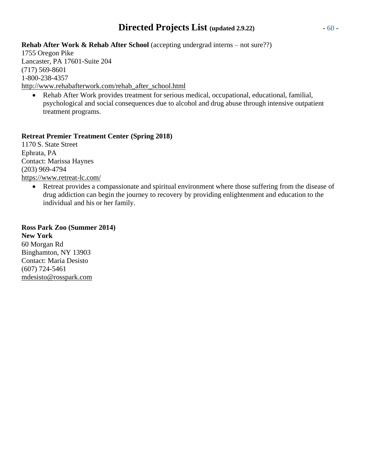## **Directed Projects List (updated 2.9.22)** - 60 -

#### **Rehab After Work & Rehab After School** (accepting undergrad interns – not sure??)

1755 Oregon Pike Lancaster, PA 17601-Suite 204 (717) 569-8601 1-800-238-4357 [http://www.rehabafterwork.com/rehab\\_after\\_school.html](http://www.rehabafterwork.com/rehab_after_school.html)

• Rehab After Work provides treatment for serious medical, occupational, educational, familial, psychological and social consequences due to alcohol and drug abuse through intensive outpatient treatment programs.

#### **Retreat Premier Treatment Center (Spring 2018)**

1170 S. State Street Ephrata, PA Contact: Marissa Haynes (203) 969-4794 <https://www.retreat-lc.com/>

> • Retreat provides a compassionate and spiritual environment where those suffering from the disease of drug addiction can begin the journey to recovery by providing enlightenment and education to the individual and his or her family.

#### **Ross Park Zoo (Summer 2014)**

**New York** 60 Morgan Rd Binghamton, NY 13903 Contact: Maria Desisto (607) 724-5461 [mdesisto@rosspark.com](mailto:mdesisto@rosspark.com)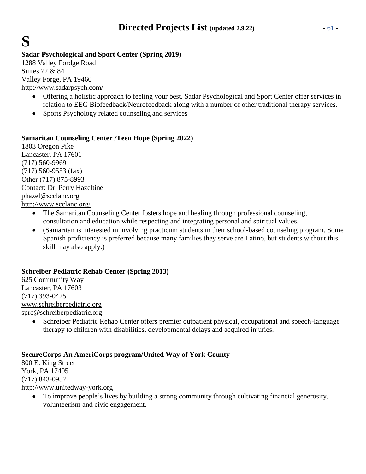## **Sadar Psychological and Sport Center (Spring 2019)**

1288 Valley Fordge Road Suites 72 & 84 Valley Forge, PA 19460 <http://www.sadarpsych.com/>

**S**

- Offering a holistic approach to feeling your best. Sadar Psychological and Sport Center offer services in relation to EEG Biofeedback/Neurofeedback along with a number of other traditional therapy services.
- Sports Psychology related counseling and services

#### **Samaritan Counseling Center /Teen Hope (Spring 2022)**

1803 Oregon Pike Lancaster, PA 17601 (717) 560-9969 (717) 560-9553 (fax) Other (717) 875-8993 Contact: Dr. Perry Hazeltine [phazel@scclanc.org](mailto:phazel@scclanc.org) <http://www.scclanc.org/>

- The Samaritan Counseling Center fosters hope and healing through professional counseling, consultation and education while respecting and integrating personal and spiritual values.
- (Samaritan is interested in involving practicum students in their school-based counseling program. Some Spanish proficiency is preferred because many families they serve are Latino, but students without this skill may also apply.)

#### **Schreiber Pediatric Rehab Center (Spring 2013)**

625 Community Way Lancaster, PA 17603 (717) 393-0425 [www.schreiberpediatric.org](http://www.schreiberpediatric.org/) [sprc@schreiberpediatric.org](mailto:sprc@schreiberpediatric.org)

• Schreiber Pediatric Rehab Center offers premier outpatient physical, occupational and speech-language therapy to children with disabilities, developmental delays and acquired injuries.

#### **SecureCorps-An AmeriCorps program/United Way of York County**

800 E. King Street York, PA 17405 (717) 843-0957 [http://www.unitedway-york.org](http://www.unitedway-york.org/)

> • To improve people's lives by building a strong community through cultivating financial generosity, volunteerism and civic engagement.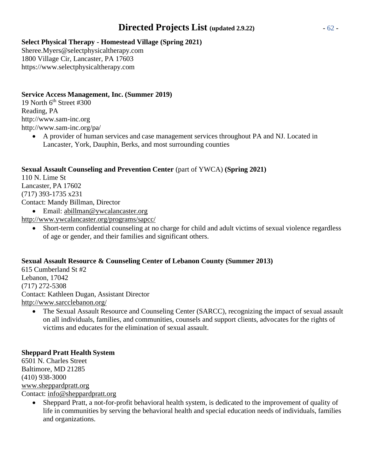## **Directed Projects List (updated 2.9.22)** - 62 -

#### **Select Physical Therapy - Homestead Village (Spring 2021)**

Sheree.Myers@selectphysicaltherapy.com 1800 Village Cir, Lancaster, PA 17603 https://www.selectphysicaltherapy.com

#### **Service Access Management, Inc. (Summer 2019)**

19 North  $6<sup>th</sup>$  Street #300 Reading, PA [http://www.sam-inc.org](http://www.sam-inc.org/) <http://www.sam-inc.org/pa/>

> • A provider of human services and case management services throughout PA and NJ. Located in Lancaster, York, Dauphin, Berks, and most surrounding counties

#### **Sexual Assault Counseling and Prevention Center** (part of YWCA) **(Spring 2021)**

110 N. Lime St Lancaster, PA 17602 (717) 393-1735 x231 Contact: Mandy Billman, Director

• Email: [abillman@ywcalancaster.org](mailto:abillman@ywcalancaster.org)

<http://www.ywcalancaster.org/programs/sapcc/>

• Short-term confidential counseling at no charge for child and adult victims of sexual violence regardless of age or gender, and their families and significant others.

### **Sexual Assault Resource & Counseling Center of Lebanon County (Summer 2013)**

615 Cumberland St #2 Lebanon, 17042 (717) 272-5308 Contact: Kathleen Dugan, Assistant Director <http://www.sarcclebanon.org/>

• The Sexual Assault Resource and Counseling Center (SARCC), recognizing the impact of sexual assault on all individuals, families, and communities, counsels and support clients, advocates for the rights of victims and educates for the elimination of sexual assault.

### **Sheppard Pratt Health System**

6501 N. Charles Street Baltimore, MD 21285 (410) 938-3000 [www.sheppardpratt.org](http://www.sheppardpratt.org/) Contact: [info@sheppardpratt.org](mailto:info@sheppardpratt.org)

> • Sheppard Pratt, a not-for-profit behavioral health system, is dedicated to the improvement of quality of life in communities by serving the behavioral health and special education needs of individuals, families and organizations.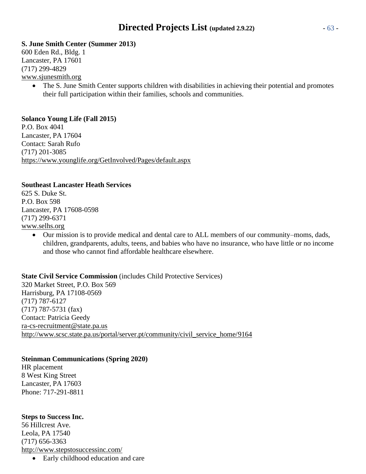#### **S. June Smith Center (Summer 2013)**

600 Eden Rd., Bldg. 1 Lancaster, PA 17601 (717) 299-4829 [www.sjunesmith.org](http://www.sjunesmith.org/)

• The S. June Smith Center supports children with disabilities in achieving their potential and promotes their full participation within their families, schools and communities.

#### **Solanco Young Life (Fall 2015)**

P.O. Box 4041 Lancaster, PA 17604 Contact: Sarah Rufo (717) 201-3085 <https://www.younglife.org/GetInvolved/Pages/default.aspx>

#### **Southeast Lancaster Heath Services**

625 S. Duke St. P.O. Box 598 Lancaster, PA 17608-0598 (717) 299-6371 [www.selhs.org](http://www.selhs.org/)

> • Our mission is to provide medical and dental care to ALL members of our community–moms, dads, children, grandparents, adults, teens, and babies who have no insurance, who have little or no income and those who cannot find affordable healthcare elsewhere.

**State Civil Service Commission** (includes Child Protective Services) 320 Market Street, P.O. Box 569 Harrisburg, PA 17108-0569 (717) 787-6127 (717) 787-5731 (fax) Contact: Patricia Geedy [ra-cs-recruitment@state.pa.us](mailto:ra-cs-recruitment@state.pa.us) [http://www.scsc.state.pa.us/portal/server.pt/community/civil\\_service\\_home/9164](http://www.scsc.state.pa.us/portal/server.pt/community/civil_service_home/9164)

#### **Steinman Communications (Spring 2020)**

HR placement 8 West King Street Lancaster, PA 17603 Phone: 717-291-8811

#### **Steps to Success Inc.**

56 Hillcrest Ave. Leola, PA 17540 (717) 656-3363 <http://www.stepstosuccessinc.com/>

• Early childhood education and care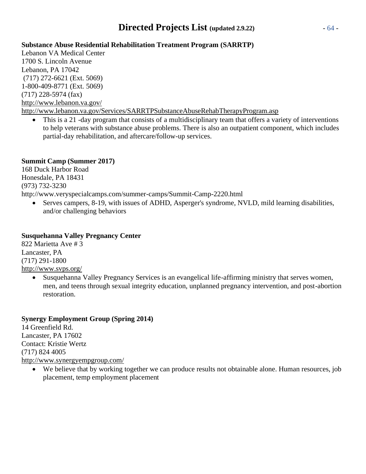## **Directed Projects List (updated 2.9.22)** - 64 -

#### **Substance Abuse Residential Rehabilitation Treatment Program (SARRTP)**

Lebanon VA Medical Center 1700 S. Lincoln Avenue Lebanon, PA 17042 (717) 272-6621 (Ext. 5069) 1-800-409-8771 (Ext. 5069) (717) 228-5974 (fax) <http://www.lebanon.va.gov/> <http://www.lebanon.va.gov/Services/SARRTPSubstanceAbuseRehabTherapyProgram.asp>

• This is a 21 -day program that consists of a multidisciplinary team that offers a variety of interventions to help veterans with substance abuse problems. There is also an outpatient component, which includes partial-day rehabilitation, and aftercare/follow-up services.

#### **Summit Camp (Summer 2017)**

168 Duck Harbor Road Honesdale, PA 18431 (973) 732-3230 <http://www.veryspecialcamps.com/summer-camps/Summit-Camp-2220.html>

• Serves campers, 8-19, with issues of ADHD, Asperger's syndrome, NVLD, mild learning disabilities, and/or challenging behaviors

#### **Susquehanna Valley Pregnancy Center**

822 Marietta Ave # 3 Lancaster, PA (717) 291-1800 <http://www.svps.org/>

> • Susquehanna Valley Pregnancy Services is an evangelical life-affirming ministry that serves women, men, and teens through sexual integrity education, unplanned pregnancy intervention, and post-abortion restoration.

#### **Synergy Employment Group (Spring 2014)**

14 Greenfield Rd. Lancaster, PA 17602 Contact: Kristie Wertz (717) 824 4005 <http://www.synergyempgroup.com/>

• We believe that by working together we can produce results not obtainable alone. Human resources, job placement, temp employment placement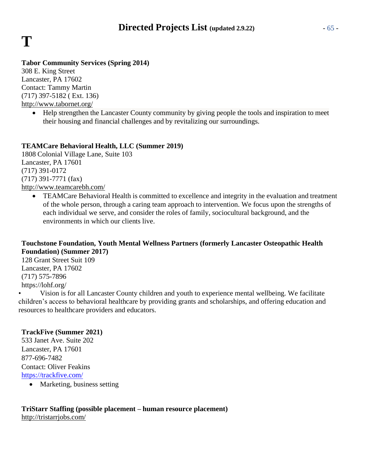# **T**

#### **Tabor Community Services (Spring 2014)**

308 E. King Street Lancaster, PA 17602 Contact: Tammy Martin (717) 397-5182 ( Ext. 136) <http://www.tabornet.org/>

> • Help strengthen the Lancaster County community by giving people the tools and inspiration to meet their housing and financial challenges and by revitalizing our surroundings.

#### **TEAMCare Behavioral Health, LLC (Summer 2019)**

1808 Colonial Village Lane, Suite 103 Lancaster, PA 17601 (717) 391-0172 (717) 391-7771 (fax) <http://www.teamcarebh.com/>

> • TEAMCare Behavioral Health is committed to excellence and integrity in the evaluation and treatment of the whole person, through a caring team approach to intervention. We focus upon the strengths of each individual we serve, and consider the roles of family, sociocultural background, and the environments in which our clients live.

#### **Touchstone Foundation, Youth Mental Wellness Partners (formerly Lancaster Osteopathic Health Foundation) (Summer 2017)**

128 Grant Street Suit 109 Lancaster, PA 17602 (717) 575-7896 https://lohf.org/

• Vision is for all Lancaster County children and youth to experience mental wellbeing. We facilitate children's access to behavioral healthcare by providing grants and scholarships, and offering education and resources to healthcare providers and educators.

#### **TrackFive (Summer 2021)**

533 Janet Ave. Suite 202 Lancaster, PA 17601 877-696-7482 Contact: Oliver Feakins <https://trackfive.com/>

• Marketing, business setting

#### **TriStarr Staffing (possible placement – human resource placement)** <http://tristarrjobs.com/>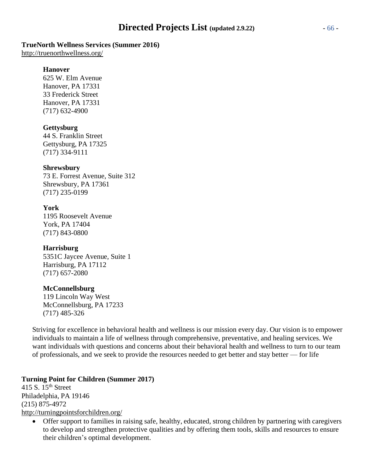#### **TrueNorth Wellness Services (Summer 2016)**

<http://truenorthwellness.org/>

#### **Hanover**

625 W. Elm Avenue Hanover, PA 17331 33 Frederick Street Hanover, PA 17331 (717) 632-4900

#### **Gettysburg**

44 S. Franklin Street Gettysburg, PA 17325 (717) 334-9111

#### **Shrewsbury**

73 E. Forrest Avenue, Suite 312 Shrewsbury, PA 17361 (717) 235-0199

#### **York**

1195 Roosevelt Avenue York, PA 17404 (717) 843-0800

#### **Harrisburg**

5351C Jaycee Avenue, Suite 1 Harrisburg, PA 17112 (717) 657-2080

#### **McConnellsburg**

119 Lincoln Way West McConnellsburg, PA 17233 (717) 485-326

Striving for excellence in behavioral health and wellness is our mission every day. Our vision is to empower individuals to maintain a life of wellness through comprehensive, preventative, and healing services. We want individuals with questions and concerns about their behavioral health and wellness to turn to our team of professionals, and we seek to provide the resources needed to get better and stay better — for life

#### **Turning Point for Children (Summer 2017)**

415 S.  $15^{th}$  Street Philadelphia, PA 19146 (215) 875-4972 <http://turningpointsforchildren.org/>

> • Offer support to families in raising safe, healthy, educated, strong children by partnering with caregivers to develop and strengthen protective qualities and by offering them tools, skills and resources to ensure their children's optimal development.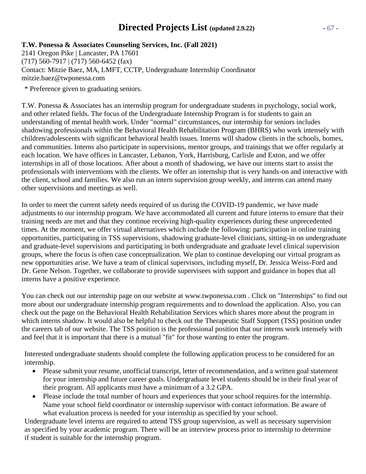## **Directed Projects List (updated 2.9.22)** - 67 -

#### **T.W. Ponessa & Associates Counseling Services, Inc. (Fall 2021)**

2141 Oregon Pike | Lancaster, PA 17601 (717) 560-7917 | (717) 560-6452 (fax) Contact: Mitzie Baez, MA, LMFT, CCTP, Undergraduate Internship Coordinator mitzie.baez@twponessa.com

\* Preference given to graduating seniors.

T.W. Ponessa & Associates has an internship program for undergraduate students in psychology, social work, and other related fields. The focus of the Undergraduate Internship Program is for students to gain an understanding of mental health work. Under "normal" circumstances, our internship for seniors includes shadowing professionals within the Behavioral Health Rehabilitation Program (BHRS) who work intensely with children/adolescents with significant behavioral health issues. Interns will shadow clients in the schools, homes, and communities. Interns also participate in supervisions, mentor groups, and trainings that we offer regularly at each location. We have offices in Lancaster, Lebanon, York, Harrisburg, Carlisle and Exton, and we offer internships in all of those locations. After about a month of shadowing, we have our interns start to assist the professionals with interventions with the clients. We offer an internship that is very hands-on and interactive with the client, school and families. We also run an intern supervision group weekly, and interns can attend many other supervisions and meetings as well.

In order to meet the current safety needs required of us during the COVID-19 pandemic, we have made adjustments to our internship program. We have accommodated all current and future interns to ensure that their training needs are met and that they continue receiving high-quality experiences during these unprecedented times. At the moment, we offer virtual alternatives which include the following: participation in online training opportunities, participating in TSS supervisions, shadowing graduate-level clinicians, sitting-in on undergraduate and graduate-level supervisions and participating in both undergraduate and graduate level clinical supervision groups, where the focus is often case conceptualization. We plan to continue developing our virtual program as new opportunities arise. We have a team of clinical supervisors, including myself, Dr. Jessica Weiss-Ford and Dr. Gene Nelson. Together, we collaborate to provide supervisees with support and guidance in hopes that all interns have a positive experience.

You can check out our internship page on our website at www.twponessa.com . Click on "Internships" to find out more about our undergraduate internship program requirements and to download the application. Also, you can check out the page on the Behavioral Health Rehabilitation Services which shares more about the program in which interns shadow. It would also be helpful to check out the Therapeutic Staff Support (TSS) position under the careers tab of our website. The TSS position is the professional position that our interns work intensely with and feel that it is important that there is a mutual "fit" for those wanting to enter the program.

Interested undergraduate students should complete the following application process to be considered for an internship.

- Please submit your resume, unofficial transcript, letter of recommendation, and a written goal statement for your internship and future career goals. Undergraduate level students should be in their final year of their program. All applicants must have a minimum of a 3.2 GPA.
- Please include the total number of hours and experiences that your school requires for the internship. Name your school field coordinator or internship supervisor with contact information. Be aware of what evaluation process is needed for your internship as specified by your school.

Undergraduate level interns are required to attend TSS group supervision, as well as necessary supervision as specified by your academic program. There will be an interview process prior to internship to determine if student is suitable for the internship program.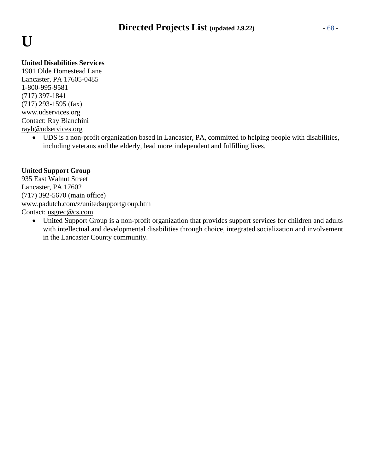# **U**

#### **United Disabilities Services**

1901 Olde Homestead Lane Lancaster, PA 17605-0485 1-800-995-9581 (717) 397-1841 (717) 293-1595 (fax) [www.udservices.org](http://www.udservices.org/) Contact: Ray Bianchini [rayb@udservices.org](mailto:rayb@udservices.org)

• UDS is a non-profit organization based in Lancaster, PA, committed to helping people with disabilities, including veterans and the elderly, lead more independent and fulfilling lives.

#### **United Support Group**

935 East Walnut Street Lancaster, PA 17602 (717) 392-5670 (main office) [www.padutch.com/z/unitedsupportgroup.htm](http://www.padutch.com/z/unitedsupportgroup.htm) Contact: [usgrec@cs.com](mailto:usgrec@cs.com)

• United Support Group is a non-profit organization that provides support services for children and adults with intellectual and developmental disabilities through choice, integrated socialization and involvement in the Lancaster County community.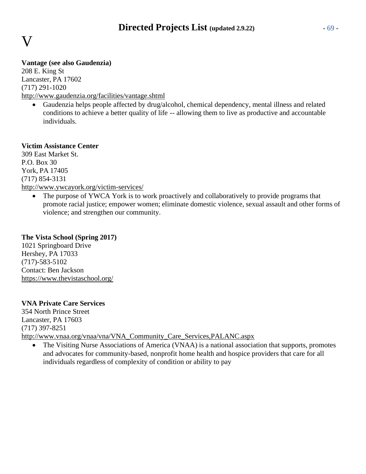## V

#### **Vantage (see also Gaudenzia)**

208 E. King St Lancaster, PA 17602 (717) 291-1020 <http://www.gaudenzia.org/facilities/vantage.shtml>

• Gaudenzia helps people affected by drug/alcohol, chemical dependency, mental illness and related conditions to achieve a better quality of life -- allowing them to live as productive and accountable individuals.

#### **Victim Assistance Center**

309 East Market St. P.O. Box 30 York, PA 17405 (717) 854-3131 <http://www.ywcayork.org/victim-services/>

> The purpose of YWCA York is to work proactively and collaboratively to provide programs that promote racial justice; empower women; eliminate domestic violence, sexual assault and other forms of violence; and strengthen our community.

#### **The Vista School (Spring 2017)**

1021 Springboard Drive Hershey, PA 17033 (717)-583-5102 Contact: Ben Jackson <https://www.thevistaschool.org/>

#### **VNA Private Care Services**

354 North Prince Street Lancaster, PA 17603 (717) 397-8251 [http://www.vnaa.org/vnaa/vna/VNA\\_Community\\_Care\\_Services,PALANC.aspx](http://www.vnaa.org/vnaa/vna/VNA_Community_Care_Services%2CPALANC.aspx)

• The Visiting Nurse Associations of America (VNAA) is a national association that supports, promotes and advocates for community-based, nonprofit home health and hospice providers that care for all individuals regardless of complexity of condition or ability to pay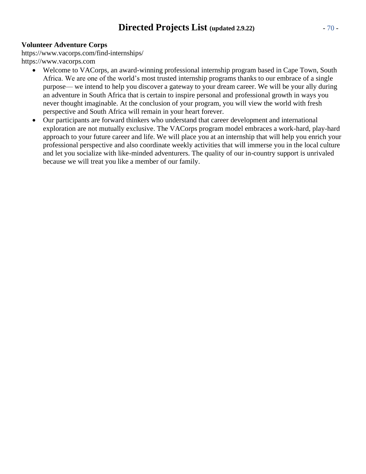#### **Volunteer Adventure Corps**

https:/[/www.vacorps.com/find-internships/](http://www.vacorps.com/find-internships/) https:/[/www.vacorps.com](http://www.vacorps.com/)

- Welcome to VACorps, an award-winning professional internship program based in Cape Town, South Africa. We are one of the world's most trusted internship programs thanks to our embrace of a single purpose— we intend to help you discover a gateway to your dream career. We will be your ally during an adventure in South Africa that is certain to inspire personal and professional growth in ways you never thought imaginable. At the conclusion of your program, you will view the world with fresh perspective and South Africa will remain in your heart forever.
- Our participants are forward thinkers who understand that career development and international exploration are not mutually exclusive. The VACorps program model embraces a work-hard, play-hard approach to your future career and life. We will place you at an internship that will help you enrich your professional perspective and also coordinate weekly activities that will immerse you in the local culture and let you socialize with like-minded adventurers. The quality of our in-country support is unrivaled because we will treat you like a member of our family.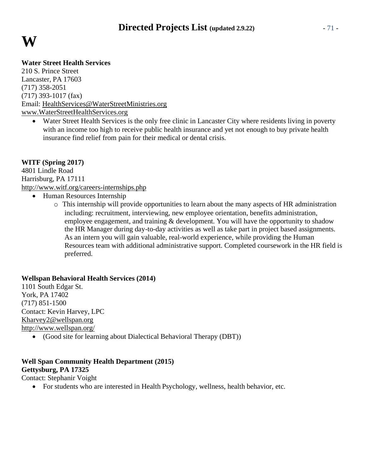

#### **Water Street Health Services**

210 S. Prince Street Lancaster, PA 17603 (717) 358-2051 (717) 393-1017 (fax) Email: [HealthServices@WaterStreetMinistries.org](mailto:HealthServices@WaterStreetMinistries.org) [www.WaterStreetHealthServices.org](http://www.waterstreethealthservices.org/)

• Water Street Health Services is the only free clinic in Lancaster City where residents living in poverty with an income too high to receive public health insurance and yet not enough to buy private health insurance find relief from pain for their medical or dental crisis.

#### **WITF (Spring 2017)**

4801 Lindle Road Harrisburg, PA 17111 <http://www.witf.org/careers-internships.php>

- Human Resources Internship
	- o This internship will provide opportunities to learn about the many aspects of HR administration including: recruitment, interviewing, new employee orientation, benefits administration, employee engagement, and training & development. You will have the opportunity to shadow the HR Manager during day-to-day activities as well as take part in project based assignments. As an intern you will gain valuable, real-world experience, while providing the Human Resources team with additional administrative support. Completed coursework in the HR field is preferred.

#### **Wellspan Behavioral Health Services (2014)**

1101 South Edgar St. York, PA 17402 (717) 851-1500 Contact: Kevin Harvey, LPC [Kharvey2@wellspan.org](mailto:Kharvey2@wellspan.org) <http://www.wellspan.org/> • (Good site for learning about Dialectical Behavioral Therapy (DBT))

#### **Well Span Community Health Department (2015) Gettysburg, PA 17325**

Contact: Stephanir Voight

• For students who are interested in Health Psychology, wellness, health behavior, etc.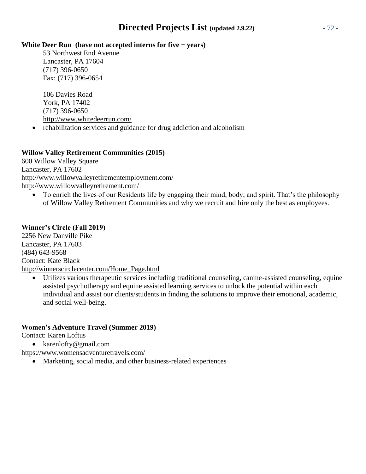#### **White Deer Run (have not accepted interns for five + years)**

53 Northwest End Avenue Lancaster, PA 17604 (717) 396-0650 Fax: (717) 396-0654

106 Davies Road York, PA 17402 (717) 396-0650 <http://www.whitedeerrun.com/>

• rehabilitation services and guidance for drug addiction and alcoholism

#### **Willow Valley Retirement Communities (2015)**

600 Willow Valley Square Lancaster, PA 17602 <http://www.willowvalleyretirementemployment.com/> <http://www.willowvalleyretirement.com/>

• To enrich the lives of our Residents life by engaging their mind, body, and spirit. That's the philosophy of Willow Valley Retirement Communities and why we recruit and hire only the best as employees.

#### **Winner's Circle (Fall 2019)**

2256 New Danville Pike Lancaster, PA 17603 (484) 643-9568 Contact: Kate Black [http://winnerscirclecenter.com/Home\\_Page.html](http://winnerscirclecenter.com/Home_Page.html)

Utilizes various therapeutic services including traditional counseling, canine-assisted counseling, equine assisted psychotherapy and equine assisted learning services to unlock the potential within each individual and assist our clients/students in finding the solutions to improve their emotional, academic, and social well-being.

#### **Women's Adventure Travel (Summer 2019)**

Contact: Karen Loftus

- [karenlofty@gmail.com](mailto:karenlofty@gmail.com)
- https:/[/www.womensadventuretravels.com/](http://www.womensadventuretravels.com/)
	- Marketing, social media, and other business-related experiences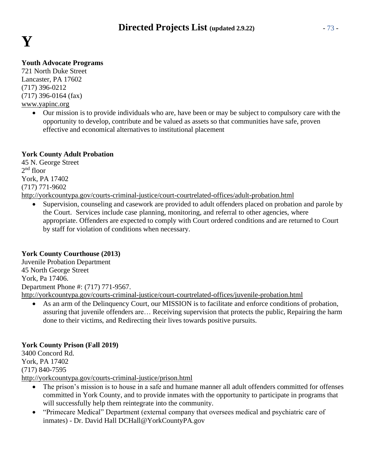

# **Youth Advocate Programs**

721 North Duke Street Lancaster, PA 17602 (717) 396-0212 (717) 396-0164 (fax) [www.yapinc.org](http://www.yapinc.org/)

> • Our mission is to provide individuals who are, have been or may be subject to compulsory care with the opportunity to develop, contribute and be valued as assets so that communities have safe, proven effective and economical alternatives to institutional placement

# **York County Adult Probation**

45 N. George Street 2 nd floor York, PA 17402 (717) 771-9602 <http://yorkcountypa.gov/courts-criminal-justice/court-courtrelated-offices/adult-probation.html>

• Supervision, counseling and casework are provided to adult offenders placed on probation and parole by the Court. Services include case planning, monitoring, and referral to other agencies, where appropriate. Offenders are expected to comply with Court ordered conditions and are returned to Court by staff for violation of conditions when necessary.

# **York County Courthouse (2013)**

Juvenile Probation Department 45 North George Street York, Pa 17406. Department Phone #: (717) 771-9567. <http://yorkcountypa.gov/courts-criminal-justice/court-courtrelated-offices/juvenile-probation.html>

As an arm of the Delinquency Court, our MISSION is to facilitate and enforce conditions of probation, assuring that juvenile offenders are… Receiving supervision that protects the public, Repairing the harm done to their victims, and Redirecting their lives towards positive pursuits.

# **York County Prison (Fall 2019)**

3400 Concord Rd. York, PA 17402 (717) 840-7595 <http://yorkcountypa.gov/courts-criminal-justice/prison.html>

- The prison's mission is to house in a safe and humane manner all adult offenders committed for offenses committed in York County, and to provide inmates with the opportunity to participate in programs that will successfully help them reintegrate into the community.
- "Primecare Medical" Department (external company that oversees medical and psychiatric care of inmates) - Dr. David Hall [DCHall@YorkCountyPA.gov](mailto:DCHall@YorkCountyPA.gov)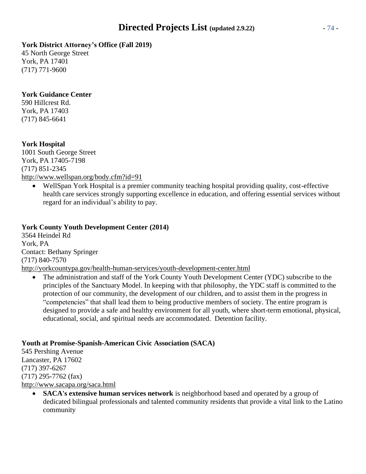# **York District Attorney's Office (Fall 2019)**

45 North George Street York, PA 17401 (717) 771-9600

# **York Guidance Center**

590 Hillcrest Rd. York, PA 17403 (717) 845-6641

# **York Hospital**

1001 South George Street York, PA 17405-7198 (717) 851-2345 <http://www.wellspan.org/body.cfm?id=91>

• WellSpan York Hospital is a premier community teaching hospital providing quality, cost-effective health care services strongly supporting excellence in education, and offering essential services without regard for an individual's ability to pay.

# **York County Youth Development Center (2014)**

3564 Heindel Rd York, PA Contact: Bethany Springer (717) 840-7570 <http://yorkcountypa.gov/health-human-services/youth-development-center.html>

• The administration and staff of the York County Youth Development Center (YDC) subscribe to the principles of the Sanctuary Model. In keeping with that philosophy, the YDC staff is committed to the protection of our community, the development of our children, and to assist them in the progress in "competencies" that shall lead them to being productive members of society. The entire program is designed to provide a safe and healthy environment for all youth, where short-term emotional, physical, educational, social, and spiritual needs are accommodated. Detention facility.

# **Youth at Promise-Spanish-American Civic Association (SACA)**

545 Pershing Avenue Lancaster, PA 17602 (717) 397-6267 (717) 295-7762 (fax) <http://www.sacapa.org/saca.html>

> • **SACA's extensive human services network** is neighborhood based and operated by a group of dedicated bilingual professionals and talented community residents that provide a vital link to the Latino community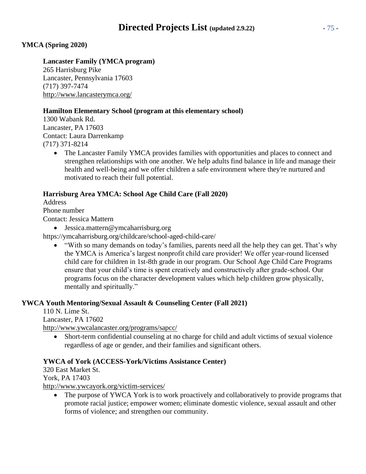# **YMCA (Spring 2020)**

# **Lancaster Family (YMCA program)**

265 Harrisburg Pike Lancaster, Pennsylvania 17603 (717) 397-7474 <http://www.lancasterymca.org/>

# **Hamilton Elementary School (program at this elementary school)**

1300 Wabank Rd. Lancaster, PA 17603 Contact: Laura Darrenkamp (717) 371-8214

> • The Lancaster Family YMCA provides families with opportunities and places to connect and strengthen relationships with one another. We help adults find balance in life and manage their health and well-being and we offer children a safe environment where they're nurtured and motivated to reach their full potential.

# **Harrisburg Area YMCA: School Age Child Care (Fall 2020)**

Address Phone number Contact: Jessica Mattern

• [Jessica.mattern@ymcaharrisburg.org](mailto:Jessica.mattern@ymcaharrisburg.org)

https://ymcaharrisburg.org/childcare/school-aged-child-care/

• "With so many demands on today's families, parents need all the help they can get. That's why the YMCA is America's largest nonprofit child care provider! We offer year-round licensed child care for children in 1st-8th grade in our program. Our School Age Child Care Programs ensure that your child's time is spent creatively and constructively after grade-school. Our programs focus on the character development values which help children grow physically, mentally and spiritually."

# **YWCA Youth Mentoring/Sexual Assault & Counseling Center (Fall 2021)**

110 N. Lime St. Lancaster, PA 17602 <http://www.ywcalancaster.org/programs/sapcc/>

• Short-term confidential counseling at no charge for child and adult victims of sexual violence regardless of age or gender, and their families and significant others.

## **YWCA of York (ACCESS-York/Victims Assistance Center)**

320 East Market St. York, PA 17403 <http://www.ywcayork.org/victim-services/>

• The purpose of YWCA York is to work proactively and collaboratively to provide programs that promote racial justice; empower women; eliminate domestic violence, sexual assault and other forms of violence; and strengthen our community.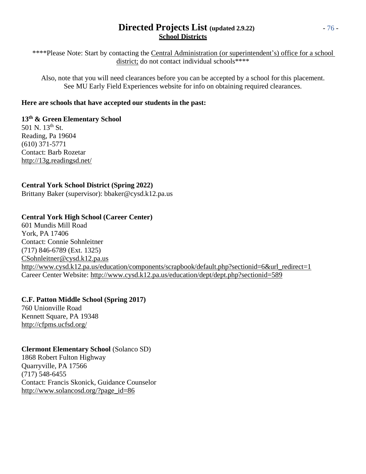# **Directed Projects List (updated 2.9.22)** - 76 - **School Districts**

\*\*\*\*Please Note: Start by contacting the Central Administration (or superintendent's) office for a school district; do not contact individual schools\*\*\*\*

Also, note that you will need clearances before you can be accepted by a school for this placement. See MU Early Field Experiences website for info on obtaining required clearances.

# **Here are schools that have accepted our students in the past:**

**13th & Green Elementary School** 501 N. 13th St. Reading, Pa 19604 (610) 371-5771 Contact: Barb Rozetar <http://13g.readingsd.net/>

# **Central York School District (Spring 2022)**

Brittany Baker (supervisor): bbaker@cysd.k12.pa.us

# **Central York High School (Career Center)**

601 Mundis Mill Road York, PA 17406 Contact: Connie Sohnleitner (717) 846-6789 (Ext. 1325) [CSohnleitner@cysd.k12.pa.us](mailto:CSohnleitner@cysd.k12.pa.us) [http://www.cysd.k12.pa.us/education/components/scrapbook/default.php?sectionid=6&url\\_redirect=1](http://www.cysd.k12.pa.us/education/components/scrapbook/default.php?sectionid=6&url_redirect=1) Career Center Website: <http://www.cysd.k12.pa.us/education/dept/dept.php?sectionid=589>

# **C.F. Patton Middle School (Spring 2017)**

760 Unionville Road Kennett Square, PA 19348 <http://cfpms.ucfsd.org/>

# **Clermont Elementary School** (Solanco SD)

1868 Robert Fulton Highway Quarryville, PA 17566 (717) 548-6455 Contact: Francis Skonick, Guidance Counselor [http://www.solancosd.org/?page\\_id=86](http://www.solancosd.org/?page_id=86)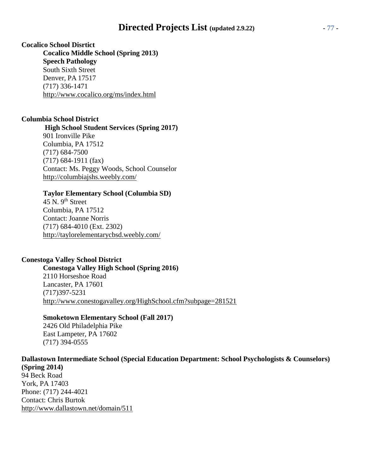# **Directed Projects List (updated 2.9.22)** - 77 -

**Cocalico School Disrtict Cocalico Middle School (Spring 2013) Speech Pathology** South Sixth Street Denver, PA 17517 (717) 336-1471 <http://www.cocalico.org/ms/index.html>

#### **Columbia School District**

**High School Student Services (Spring 2017)** 901 Ironville Pike Columbia, PA 17512 (717) 684-7500 (717) 684-1911 (fax) Contact: Ms. Peggy Woods, School Counselor <http://columbiajshs.weebly.com/>

#### **Taylor Elementary School (Columbia SD)**

45 N.  $9<sup>th</sup>$  Street Columbia, PA 17512 Contact: Joanne Norris (717) 684-4010 (Ext. 2302) <http://taylorelementarycbsd.weebly.com/>

# **Conestoga Valley School District**

**Conestoga Valley High School (Spring 2016)** 2110 Horseshoe Road Lancaster, PA 17601 (717)397-5231 <http://www.conestogavalley.org/HighSchool.cfm?subpage=281521>

#### **Smoketown Elementary School (Fall 2017)**

2426 Old Philadelphia Pike East Lampeter, PA 17602 (717) 394-0555

**Dallastown Intermediate School (Special Education Department: School Psychologists & Counselors) (Spring 2014)** 94 Beck Road York, PA 17403 Phone: (717) 244-4021 Contact: Chris Burtok <http://www.dallastown.net/domain/511>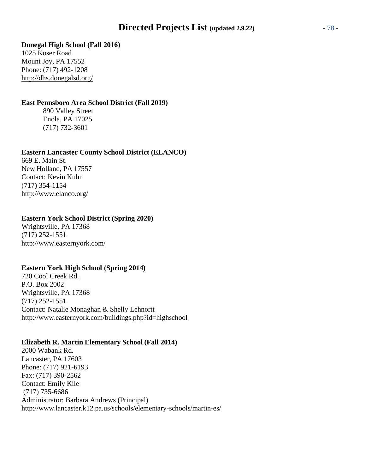# **Directed Projects List (updated 2.9.22)** - 78 -

#### **Donegal High School (Fall 2016)**

1025 Koser Road Mount Joy, PA 17552 Phone: (717) 492-1208 <http://dhs.donegalsd.org/>

# **East Pennsboro Area School District (Fall 2019)**

890 Valley Street Enola, PA 17025 (717) 732-3601

#### **Eastern Lancaster County School District (ELANCO)**

669 E. Main St. New Holland, PA 17557 Contact: Kevin Kuhn (717) 354-1154 <http://www.elanco.org/>

## **Eastern York School District (Spring 2020)**

Wrightsville, PA 17368 (717) 252-1551 <http://www.easternyork.com/>

## **Eastern York High School (Spring 2014)**

720 Cool Creek Rd. P.O. Box 2002 Wrightsville, PA 17368 (717) 252-1551 Contact: Natalie Monaghan & Shelly Lehnortt <http://www.easternyork.com/buildings.php?id=highschool>

## **Elizabeth R. Martin Elementary School (Fall 2014)**

2000 Wabank Rd. Lancaster, PA 17603 Phone: (717) 921-6193 Fax: (717) 390-2562 Contact: Emily Kile (717) 735-6686 Administrator: Barbara Andrews (Principal) <http://www.lancaster.k12.pa.us/schools/elementary-schools/martin-es/>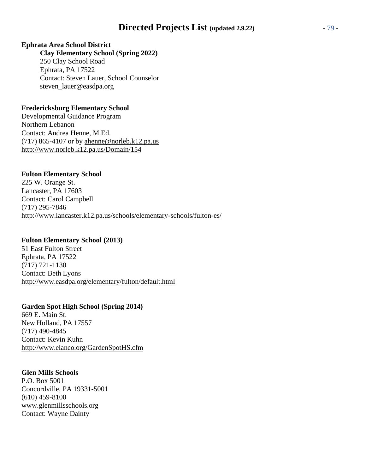# **Ephrata Area School District**

**Clay Elementary School (Spring 2022)** 250 Clay School Road Ephrata, PA 17522 Contact: Steven Lauer, School Counselor steven\_lauer@easdpa.org

# **Fredericksburg Elementary School**

Developmental Guidance Program Northern Lebanon Contact: Andrea Henne, M.Ed. (717) 865-4107 or by [ahenne@norleb.k12.pa.us](mailto:ahenne@norleb.k12.pa.us) <http://www.norleb.k12.pa.us/Domain/154>

# **Fulton Elementary School**

225 W. Orange St. Lancaster, PA 17603 Contact: Carol Campbell (717) 295-7846 <http://www.lancaster.k12.pa.us/schools/elementary-schools/fulton-es/>

## **Fulton Elementary School (2013)**

51 East Fulton Street Ephrata, PA 17522 (717) 721-1130 Contact: Beth Lyons <http://www.easdpa.org/elementary/fulton/default.html>

## **Garden Spot High School (Spring 2014)**

669 E. Main St. New Holland, PA 17557 (717) 490-4845 Contact: Kevin Kuhn <http://www.elanco.org/GardenSpotHS.cfm>

## **Glen Mills Schools**

P.O. Box 5001 Concordville, PA 19331-5001 (610) 459-8100 [www.glenmillsschools.org](http://www.glenmillsschools.org/) Contact: Wayne Dainty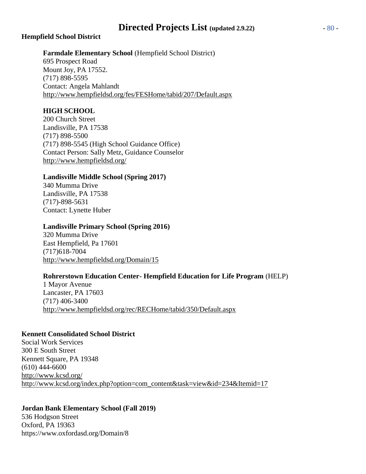# **Directed Projects List (updated 2.9.22)** - 80 -

## **Hempfield School District**

**Farmdale Elementary School** (Hempfield School District)

695 Prospect Road Mount Joy, PA 17552. (717) 898-5595 Contact: Angela Mahlandt <http://www.hempfieldsd.org/fes/FESHome/tabid/207/Default.aspx>

# **HIGH SCHOOL**

200 Church Street Landisville, PA 17538 (717) 898-5500 (717) 898-5545 (High School Guidance Office) Contact Person: Sally Metz, Guidance Counselor <http://www.hempfieldsd.org/>

## **Landisville Middle School (Spring 2017)**

340 Mumma Drive Landisville, PA 17538 (717)-898-5631 Contact: Lynette Huber

#### **Landisville Primary School (Spring 2016)**

320 Mumma Drive East Hempfield, Pa 17601 (717)618-7004 <http://www.hempfieldsd.org/Domain/15>

## **Rohrerstown Education Center- Hempfield Education for Life Program** (HELP)

1 Mayor Avenue Lancaster, PA 17603 (717) 406-3400 <http://www.hempfieldsd.org/rec/RECHome/tabid/350/Default.aspx>

## **Kennett Consolidated School District**

Social Work Services 300 E South Street Kennett Square, PA 19348 (610) 444-6600 <http://www.kcsd.org/> [http://www.kcsd.org/index.php?option=com\\_content&task=view&id=234&Itemid=17](http://www.kcsd.org/index.php?option=com_content&task=view&id=234&Itemid=17)

## **Jordan Bank Elementary School (Fall 2019)**

536 Hodgson Street Oxford, PA 19363 https:/[/www.oxfordasd.org/Domain/8](http://www.oxfordasd.org/Domain/8)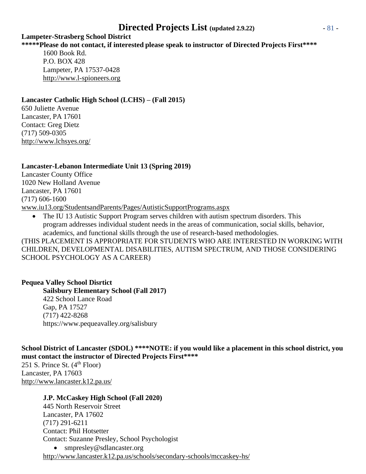# **Directed Projects List (updated 2.9.22)** - 81 -

#### **Lampeter-Strasberg School District**

# **\*\*\*\*\*Please do not contact, if interested please speak to instructor of Directed Projects First\*\*\*\***

1600 Book Rd. P.O. BOX 428 Lampeter, PA 17537-0428 [http://www.l-spioneers.org](http://www.l-spioneers.org/)

# **Lancaster Catholic High School (LCHS) – (Fall 2015)**

650 Juliette Avenue Lancaster, PA 17601 Contact: Greg Dietz (717) 509-0305 <http://www.lchsyes.org/>

# **Lancaster-Lebanon Intermediate Unit 13 (Spring 2019)**

Lancaster County Office 1020 New Holland Avenue Lancaster, PA 17601 (717) 606-1600 [www.iu13.org/StudentsandParents/Pages/AutisticSupportPrograms.aspx](http://www.iu13.org/StudentsandParents/Pages/AutisticSupportPrograms.aspx)

• The IU 13 Autistic Support Program serves children with autism spectrum disorders. This program addresses individual student needs in the areas of communication, social skills, behavior, academics, and functional skills through the use of research-based methodologies.

(THIS PLACEMENT IS APPROPRIATE FOR STUDENTS WHO ARE INTERESTED IN WORKING WITH CHILDREN, DEVELOPMENTAL DISABILITIES, AUTISM SPECTRUM, AND THOSE CONSIDERING SCHOOL PSYCHOLOGY AS A CAREER)

## **Pequea Valley School Disrtict**

**Sailsbury Elementary School (Fall 2017)** 422 School Lance Road Gap, PA 17527 (717) 422-8268 https:/[/www.pequeavalley.org/salisbury](http://www.pequeavalley.org/salisbury)

**School District of Lancaster (SDOL) \*\*\*\*NOTE: if you would like a placement in this school district, you must contact the instructor of Directed Projects First\*\*\*\***

251 S. Prince St.  $(4<sup>th</sup>$  Floor) Lancaster, PA 17603 <http://www.lancaster.k12.pa.us/>

## **J.P. McCaskey High School (Fall 2020)**

445 North Reservoir Street Lancaster, PA 17602 (717) 291-6211 Contact: Phil Hotsetter Contact: Suzanne Presley, School Psychologist • [smpresley@sdlancaster.org](mailto:smpresley@sdlancaster.org)

<http://www.lancaster.k12.pa.us/schools/secondary-schools/mccaskey-hs/>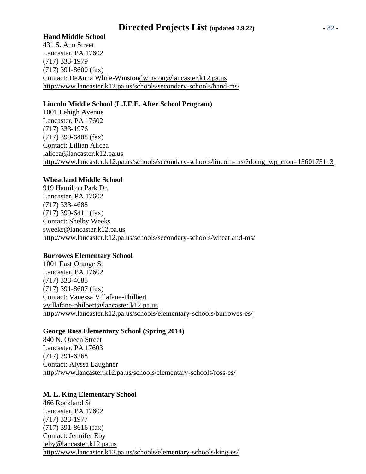# **Hand Middle School**

431 S. Ann Street Lancaster, PA 17602 (717) 333-1979 (717) 391-8600 (fax) Contact: DeAnna White-Winsto[ndwinston@lancaster.k12.pa.us](mailto:dwinston@lancaster.k12.pa.us) <http://www.lancaster.k12.pa.us/schools/secondary-schools/hand-ms/>

# **Lincoln Middle School (L.I.F.E. After School Program)**

1001 Lehigh Avenue Lancaster, PA 17602 (717) 333-1976 (717) 399-6408 (fax) Contact: Lillian Alicea [lalicea@lancaster.k12.pa.us](mailto:lalicea@lancaster.k12.pa.us) [http://www.lancaster.k12.pa.us/schools/secondary-schools/lincoln-ms/?doing\\_wp\\_cron=1360173113](http://www.lancaster.k12.pa.us/schools/secondary-schools/lincoln-ms/?doing_wp_cron=1360173113)

# **Wheatland Middle School**

919 Hamilton Park Dr. Lancaster, PA 17602 (717) 333-4688 (717) 399-6411 (fax) Contact: Shelby Weeks [sweeks@lancaster.k12.pa.us](mailto:sweeks@lancaster.k12.pa.us) <http://www.lancaster.k12.pa.us/schools/secondary-schools/wheatland-ms/>

## **Burrowes Elementary School**

1001 East Orange St Lancaster, PA 17602 (717) 333-4685 (717) 391-8607 (fax) Contact: Vanessa Villafane-Philbert [vvillafane-philbert@lancaster.k12.pa.us](mailto:vvillafane-philbert@lancaster.k12.pa.us) <http://www.lancaster.k12.pa.us/schools/elementary-schools/burrowes-es/>

## **George Ross Elementary School (Spring 2014)**

840 N. Queen Street Lancaster, PA 17603 (717) 291-6268 Contact: Alyssa Laughner <http://www.lancaster.k12.pa.us/schools/elementary-schools/ross-es/>

# **M. L. King Elementary School**

466 Rockland St Lancaster, PA 17602 (717) 333-1977 (717) 391-8616 (fax) Contact: Jennifer Eby [jeby@lancaster.k12.pa.us](mailto:jeby@lancaster.k12.pa.us) <http://www.lancaster.k12.pa.us/schools/elementary-schools/king-es/>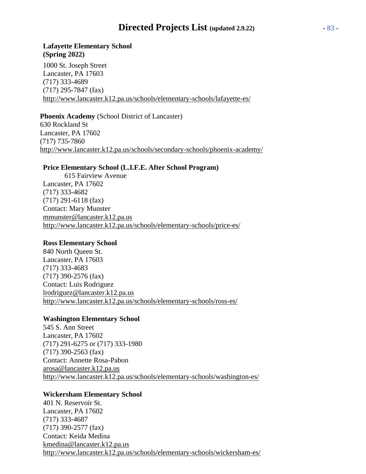# **Directed Projects List (updated 2.9.22)** - 83 -

## **Lafayette Elementary School (Spring 2022)**

1000 St. Joseph Street Lancaster, PA 17603 (717) 333-4689 (717) 295-7847 (fax) <http://www.lancaster.k12.pa.us/schools/elementary-schools/lafayette-es/>

## **Phoenix Academy** (School District of Lancaster)

630 Rockland St Lancaster, PA 17602 (717) 735-7860 <http://www.lancaster.k12.pa.us/schools/secondary-schools/phoenix-academy/>

#### **Price Elementary School (L.I.F.E. After School Program)**

615 Fairview Avenue Lancaster, PA 17602 (717) 333-4682 (717) 291-6118 (fax) Contact: Mary Munster [mmunster@lancaster.k12.pa.us](mailto:mmunster@lancaster.k12.pa.us) <http://www.lancaster.k12.pa.us/schools/elementary-schools/price-es/>

#### **Ross Elementary School**

840 North Queen St. Lancaster, PA 17603 (717) 333-4683 (717) 390-2576 (fax) Contact: Luis Rodriguez [lrodriguez@lancaster.k12.pa.us](mailto:lrodriguez@lancaster.k12.pa.us) <http://www.lancaster.k12.pa.us/schools/elementary-schools/ross-es/>

## **Washington Elementary School**

545 S. Ann Street Lancaster, PA 17602 (717) 291-6275 or (717) 333-1980 (717) 390-2563 (fax) Contact: Annette Rosa-Pabon [arosa@lancaster.k12.pa.us](mailto:arosa@lancaster.k12.pa.us) <http://www.lancaster.k12.pa.us/schools/elementary-schools/washington-es/>

## **Wickersham Elementary School**

401 N. Reservoir St. Lancaster, PA 17602 (717) 333-4687 (717) 390-2577 (fax) Contact: Keida Medina [kmedina@lancaster.k12.pa.us](mailto:kmedina@lancaster.k12.pa.us) <http://www.lancaster.k12.pa.us/schools/elementary-schools/wickersham-es/>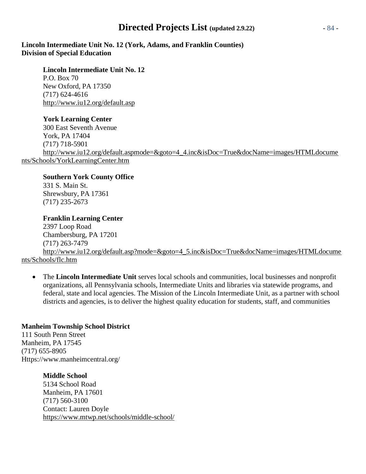# **Directed Projects List (updated 2.9.22)** - 84 -

**Lincoln Intermediate Unit No. 12 (York, Adams, and Franklin Counties) Division of Special Education**

**Lincoln Intermediate Unit No. 12** P.O. Box 70 New Oxford, PA 17350 (717) 624-4616 <http://www.iu12.org/default.asp>

**York Learning Center** 300 East Seventh Avenue York, PA 17404 (717) 718-5901 [http://www.iu12.org/default.aspmode=&goto=4\\_4.inc&isDoc=True&docName=images/HTMLdocume](http://www.iu12.org/default.aspmode%3D%26goto%3D4_4.inc%26isDoc%3DTrue%26docName%3Dimages/HTMLdocume) nts/Schools/YorkLearningCenter.htm

**Southern York County Office** 331 S. Main St. Shrewsbury, PA 17361 (717) 235-2673

**Franklin Learning Center** 2397 Loop Road Chambersburg, PA 17201 (717) 263-7479 http://www.iu12.org/default.asp?mode=&goto=4\_5.inc&isDoc=True&docName=images/HTMLdocume nts/Schools/flc.htm

• The **Lincoln Intermediate Unit** serves local schools and communities, local businesses and nonprofit organizations, all Pennsylvania schools, Intermediate Units and libraries via statewide programs, and federal, state and local agencies. The Mission of the Lincoln Intermediate Unit, as a partner with school districts and agencies, is to deliver the highest quality education for students, staff, and communities

# **Manheim Township School District**

111 South Penn Street Manheim, PA 17545 (717) 655-8905 Https:/[/www.manheimcentral.org/](http://www.manheimcentral.org/)

## **Middle School**

5134 School Road Manheim, PA 17601 (717) 560-3100 Contact: Lauren Doyle <https://www.mtwp.net/schools/middle-school/>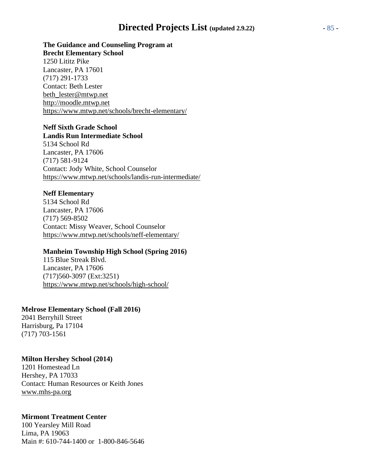# **Directed Projects List (updated 2.9.22)** - 85 -

**The Guidance and Counseling Program at Brecht Elementary School** 1250 Lititz Pike Lancaster, PA 17601 (717) 291-1733 Contact: Beth Lester [beth\\_lester@mtwp.net](mailto:Beth_lester@mtwp.net) [http://moodle.mtwp.net](http://moodle.mtwp.net/) <https://www.mtwp.net/schools/brecht-elementary/>

# **Neff Sixth Grade School**

**Landis Run Intermediate School** 5134 School Rd Lancaster, PA 17606 (717) 581-9124 Contact: Jody White, School Counselor <https://www.mtwp.net/schools/landis-run-intermediate/>

#### **Neff Elementary**

5134 School Rd Lancaster, PA 17606 (717) 569-8502 Contact: Missy Weaver, School Counselor <https://www.mtwp.net/schools/neff-elementary/>

#### **Manheim Township High School (Spring 2016)**

115 Blue Streak Blvd. Lancaster, PA 17606 (717)560-3097 (Ext:3251) <https://www.mtwp.net/schools/high-school/>

#### **Melrose Elementary School (Fall 2016)**

2041 Berryhill Street Harrisburg, Pa 17104 (717) 703-1561

#### **Milton Hershey School (2014)**

1201 Homestead Ln Hershey, PA 17033 Contact: Human Resources or Keith Jones [www.mhs-pa.org](http://www.mhs-pa.org/)

#### **Mirmont Treatment Center**

100 Yearsley Mill Road Lima, PA 19063 Main #: 610-744-1400 or 1-800-846-5646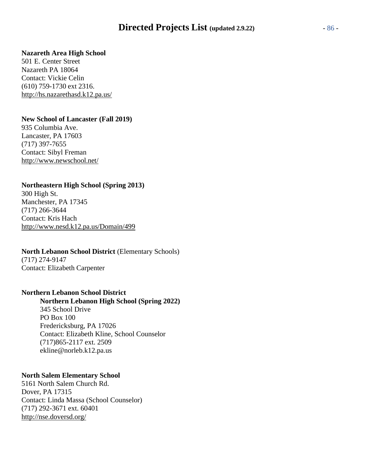# **Directed Projects List (updated 2.9.22)** - 86 -

#### **Nazareth Area High School**

501 E. Center Street Nazareth PA 18064 Contact: Vickie Celin (610) 759-1730 ext 2316. <http://hs.nazarethasd.k12.pa.us/>

#### **New School of Lancaster (Fall 2019)**

935 Columbia Ave. Lancaster, PA 17603 (717) 397-7655 Contact: Sibyl Freman <http://www.newschool.net/>

## **Northeastern High School (Spring 2013)**

300 High St. Manchester, PA 17345 (717) 266-3644 Contact: Kris Hach <http://www.nesd.k12.pa.us/Domain/499>

#### **North Lebanon School District** (Elementary Schools)

(717) 274-9147 Contact: Elizabeth Carpenter

#### **Northern Lebanon School District**

**Northern Lebanon High School (Spring 2022)** 345 School Drive PO Box 100 Fredericksburg, PA 17026 Contact: Elizabeth Kline, School Counselor (717)865-2117 ext. 2509 ekline@norleb.k12.pa.us

#### **North Salem Elementary School**

5161 North Salem Church Rd. Dover, PA 17315 Contact: Linda Massa (School Counselor) (717) 292-3671 ext. 60401 <http://nse.doversd.org/>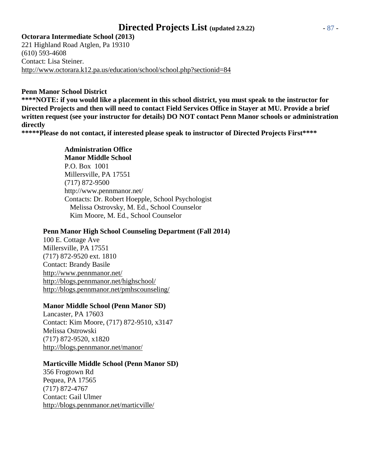# **Directed Projects List (updated 2.9.22)** - 87 -

**Octorara Intermediate School (2013)** 221 Highland Road Atglen, Pa 19310 (610) 593-4608 Contact: Lisa Steiner. <http://www.octorara.k12.pa.us/education/school/school.php?sectionid=84>

#### **Penn Manor School District**

**\*\*\*\*NOTE: if you would like a placement in this school district, you must speak to the instructor for Directed Projects and then will need to contact Field Services Office in Stayer at MU. Provide a brief written request (see your instructor for details) DO NOT contact Penn Manor schools or administration directly**

**\*\*\*\*\*Please do not contact, if interested please speak to instructor of Directed Projects First\*\*\*\***

## **Administration Office**

**Manor Middle School** P.O. Box 1001 Millersville, PA 17551 (717) 872-9500 <http://www.pennmanor.net/> Contacts: Dr. Robert Hoepple, School Psychologist Melissa Ostrovsky, M. Ed., School Counselor Kim Moore, M. Ed., School Counselor

#### **Penn Manor High School Counseling Department (Fall 2014)**

100 E. Cottage Ave Millersville, PA 17551 (717) 872-9520 ext. 1810 Contact: Brandy Basile <http://www.pennmanor.net/> <http://blogs.pennmanor.net/highschool/> <http://blogs.pennmanor.net/pmhscounseling/>

## **Manor Middle School (Penn Manor SD)**

Lancaster, PA 17603 Contact: Kim Moore, (717) 872-9510, x3147 Melissa Ostrowski (717) 872-9520, x1820 <http://blogs.pennmanor.net/manor/>

## **Marticville Middle School (Penn Manor SD)**

356 Frogtown Rd Pequea, PA 17565 (717) 872-4767 Contact: Gail Ulmer <http://blogs.pennmanor.net/marticville/>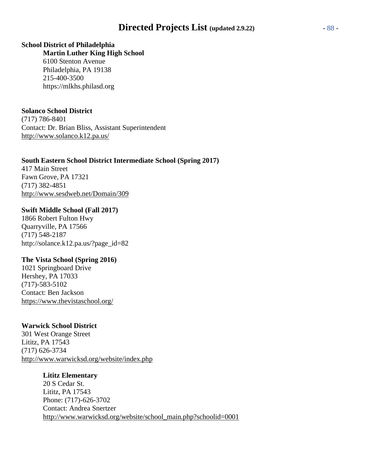# **Directed Projects List (updated 2.9.22)** - 88 -

#### **School District of Philadelphia**

**Martin Luther King High School** 6100 Stenton Avenue Philadelphia, PA 19138 215-400-3500 https://mlkhs.philasd.org

#### **Solanco School District**

(717) 786-8401 Contact: Dr. Brian Bliss, Assistant Superintendent <http://www.solanco.k12.pa.us/>

#### **South Eastern School District Intermediate School (Spring 2017)**

417 Main Street Fawn Grove, PA 17321 (717) 382-4851 <http://www.sesdweb.net/Domain/309>

#### **Swift Middle School (Fall 2017)**

1866 Robert Fulton Hwy Quarryville, PA 17566 (717) 548-2187 [http://solance.k12.pa.us/?page\\_id=82](http://solance.k12.pa.us/?page_id=82)

# **The Vista School (Spring 2016)**

1021 Springboard Drive Hershey, PA 17033 (717)-583-5102 Contact: Ben Jackson <https://www.thevistaschool.org/>

#### **Warwick School District**

301 West Orange Street Lititz, PA 17543 (717) 626-3734 <http://www.warwicksd.org/website/index.php>

#### **Lititz Elementary**

20 S Cedar St. Lititz, PA 17543 Phone: (717)-626-3702 Contact: Andrea Snertzer [http://www.warwicksd.org/website/school\\_main.php?schoolid=0001](http://www.warwicksd.org/website/school_main.php?schoolid=0001)